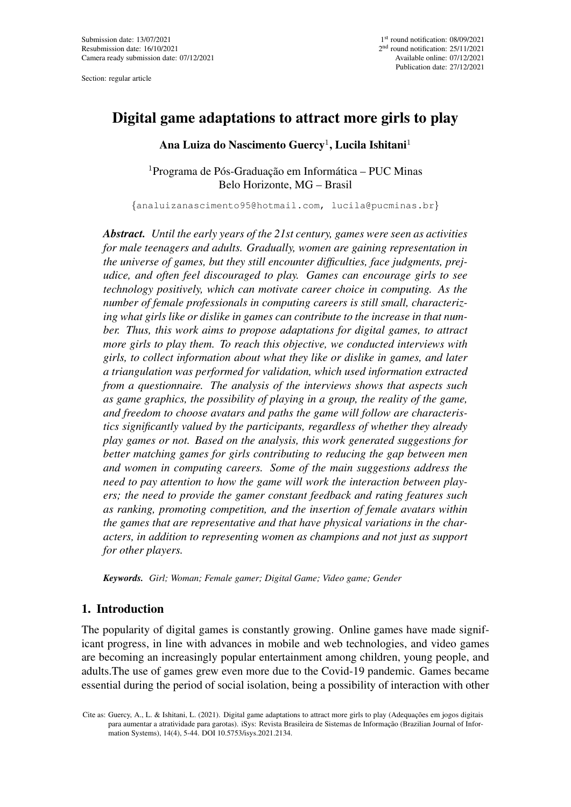Section: regular article

# Digital game adaptations to attract more girls to play

Ana Luiza do Nascimento Guercy $^1$ , Lucila Ishitani $^1$ 

 $1$ Programa de Pós-Graduação em Informática – PUC Minas Belo Horizonte, MG – Brasil

{analuizanascimento95@hotmail.com, lucila@pucminas.br}

*Abstract. Until the early years of the 21st century, games were seen as activities for male teenagers and adults. Gradually, women are gaining representation in the universe of games, but they still encounter difficulties, face judgments, prejudice, and often feel discouraged to play. Games can encourage girls to see technology positively, which can motivate career choice in computing. As the number of female professionals in computing careers is still small, characterizing what girls like or dislike in games can contribute to the increase in that number. Thus, this work aims to propose adaptations for digital games, to attract more girls to play them. To reach this objective, we conducted interviews with girls, to collect information about what they like or dislike in games, and later a triangulation was performed for validation, which used information extracted from a questionnaire. The analysis of the interviews shows that aspects such as game graphics, the possibility of playing in a group, the reality of the game, and freedom to choose avatars and paths the game will follow are characteristics significantly valued by the participants, regardless of whether they already play games or not. Based on the analysis, this work generated suggestions for better matching games for girls contributing to reducing the gap between men and women in computing careers. Some of the main suggestions address the need to pay attention to how the game will work the interaction between players; the need to provide the gamer constant feedback and rating features such as ranking, promoting competition, and the insertion of female avatars within the games that are representative and that have physical variations in the characters, in addition to representing women as champions and not just as support for other players.*

*Keywords. Girl; Woman; Female gamer; Digital Game; Video game; Gender*

## 1. Introduction

The popularity of digital games is constantly growing. Online games have made significant progress, in line with advances in mobile and web technologies, and video games are becoming an increasingly popular entertainment among children, young people, and adults.The use of games grew even more due to the Covid-19 pandemic. Games became essential during the period of social isolation, being a possibility of interaction with other

Cite as: Guercy, A., L. & Ishitani, L. (2021). Digital game adaptations to attract more girls to play (Adequações em jogos digitais para aumentar a atratividade para garotas). iSys: Revista Brasileira de Sistemas de Informacão (Brazilian Journal of Information Systems), 14(4), 5-44. DOI 10.5753/isys.2021.2134.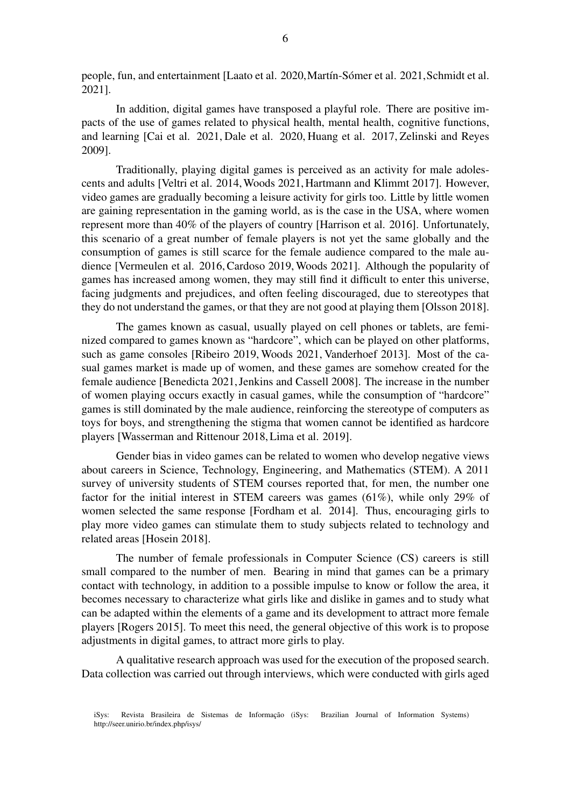people, fun, and entertainment [Laato et al. 2020, Martín-Sómer et al. 2021, Schmidt et al. 2021].

In addition, digital games have transposed a playful role. There are positive impacts of the use of games related to physical health, mental health, cognitive functions, and learning [Cai et al. 2021, Dale et al. 2020, Huang et al. 2017, Zelinski and Reyes 2009].

Traditionally, playing digital games is perceived as an activity for male adolescents and adults [Veltri et al. 2014, Woods 2021, Hartmann and Klimmt 2017]. However, video games are gradually becoming a leisure activity for girls too. Little by little women are gaining representation in the gaming world, as is the case in the USA, where women represent more than 40% of the players of country [Harrison et al. 2016]. Unfortunately, this scenario of a great number of female players is not yet the same globally and the consumption of games is still scarce for the female audience compared to the male audience [Vermeulen et al. 2016, Cardoso 2019, Woods 2021]. Although the popularity of games has increased among women, they may still find it difficult to enter this universe, facing judgments and prejudices, and often feeling discouraged, due to stereotypes that they do not understand the games, or that they are not good at playing them [Olsson 2018].

The games known as casual, usually played on cell phones or tablets, are feminized compared to games known as "hardcore", which can be played on other platforms, such as game consoles [Ribeiro 2019, Woods 2021, Vanderhoef 2013]. Most of the casual games market is made up of women, and these games are somehow created for the female audience [Benedicta 2021, Jenkins and Cassell 2008]. The increase in the number of women playing occurs exactly in casual games, while the consumption of "hardcore" games is still dominated by the male audience, reinforcing the stereotype of computers as toys for boys, and strengthening the stigma that women cannot be identified as hardcore players [Wasserman and Rittenour 2018, Lima et al. 2019].

Gender bias in video games can be related to women who develop negative views about careers in Science, Technology, Engineering, and Mathematics (STEM). A 2011 survey of university students of STEM courses reported that, for men, the number one factor for the initial interest in STEM careers was games (61%), while only 29% of women selected the same response [Fordham et al. 2014]. Thus, encouraging girls to play more video games can stimulate them to study subjects related to technology and related areas [Hosein 2018].

The number of female professionals in Computer Science (CS) careers is still small compared to the number of men. Bearing in mind that games can be a primary contact with technology, in addition to a possible impulse to know or follow the area, it becomes necessary to characterize what girls like and dislike in games and to study what can be adapted within the elements of a game and its development to attract more female players [Rogers 2015]. To meet this need, the general objective of this work is to propose adjustments in digital games, to attract more girls to play.

A qualitative research approach was used for the execution of the proposed search. Data collection was carried out through interviews, which were conducted with girls aged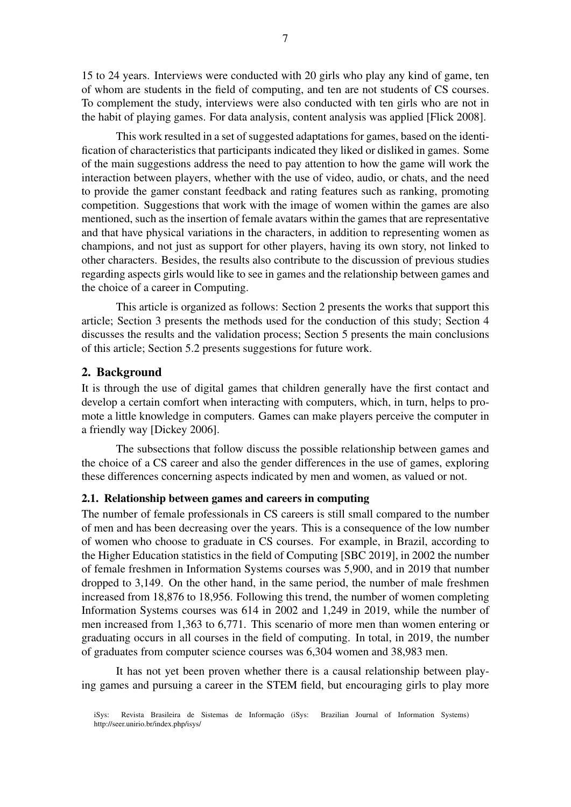15 to 24 years. Interviews were conducted with 20 girls who play any kind of game, ten of whom are students in the field of computing, and ten are not students of CS courses. To complement the study, interviews were also conducted with ten girls who are not in the habit of playing games. For data analysis, content analysis was applied [Flick 2008].

This work resulted in a set of suggested adaptations for games, based on the identification of characteristics that participants indicated they liked or disliked in games. Some of the main suggestions address the need to pay attention to how the game will work the interaction between players, whether with the use of video, audio, or chats, and the need to provide the gamer constant feedback and rating features such as ranking, promoting competition. Suggestions that work with the image of women within the games are also mentioned, such as the insertion of female avatars within the games that are representative and that have physical variations in the characters, in addition to representing women as champions, and not just as support for other players, having its own story, not linked to other characters. Besides, the results also contribute to the discussion of previous studies regarding aspects girls would like to see in games and the relationship between games and the choice of a career in Computing.

This article is organized as follows: Section 2 presents the works that support this article; Section 3 presents the methods used for the conduction of this study; Section 4 discusses the results and the validation process; Section 5 presents the main conclusions of this article; Section 5.2 presents suggestions for future work.

## 2. Background

It is through the use of digital games that children generally have the first contact and develop a certain comfort when interacting with computers, which, in turn, helps to promote a little knowledge in computers. Games can make players perceive the computer in a friendly way [Dickey 2006].

The subsections that follow discuss the possible relationship between games and the choice of a CS career and also the gender differences in the use of games, exploring these differences concerning aspects indicated by men and women, as valued or not.

### 2.1. Relationship between games and careers in computing

The number of female professionals in CS careers is still small compared to the number of men and has been decreasing over the years. This is a consequence of the low number of women who choose to graduate in CS courses. For example, in Brazil, according to the Higher Education statistics in the field of Computing [SBC 2019], in 2002 the number of female freshmen in Information Systems courses was 5,900, and in 2019 that number dropped to 3,149. On the other hand, in the same period, the number of male freshmen increased from 18,876 to 18,956. Following this trend, the number of women completing Information Systems courses was 614 in 2002 and 1,249 in 2019, while the number of men increased from 1,363 to 6,771. This scenario of more men than women entering or graduating occurs in all courses in the field of computing. In total, in 2019, the number of graduates from computer science courses was 6,304 women and 38,983 men.

It has not yet been proven whether there is a causal relationship between playing games and pursuing a career in the STEM field, but encouraging girls to play more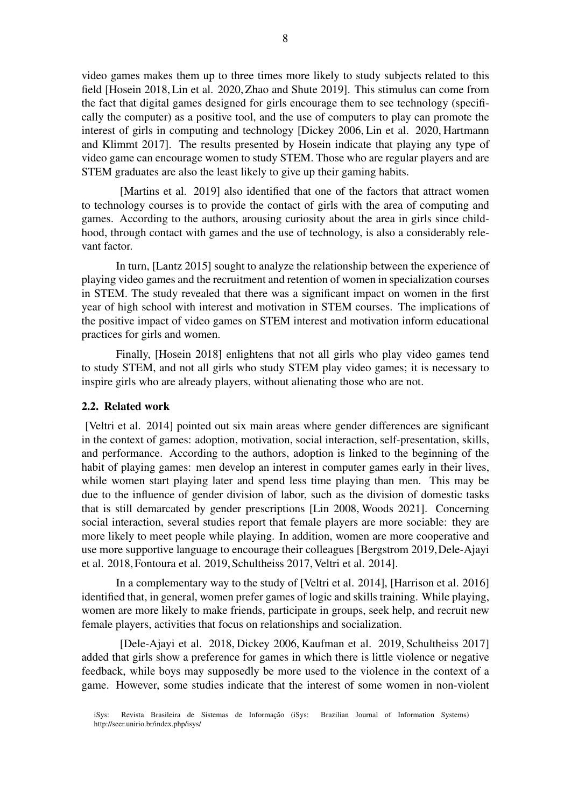video games makes them up to three times more likely to study subjects related to this field [Hosein 2018, Lin et al. 2020, Zhao and Shute 2019]. This stimulus can come from the fact that digital games designed for girls encourage them to see technology (specifically the computer) as a positive tool, and the use of computers to play can promote the interest of girls in computing and technology [Dickey 2006, Lin et al. 2020, Hartmann and Klimmt 2017]. The results presented by Hosein indicate that playing any type of video game can encourage women to study STEM. Those who are regular players and are STEM graduates are also the least likely to give up their gaming habits.

[Martins et al. 2019] also identified that one of the factors that attract women to technology courses is to provide the contact of girls with the area of computing and games. According to the authors, arousing curiosity about the area in girls since childhood, through contact with games and the use of technology, is also a considerably relevant factor.

In turn, [Lantz 2015] sought to analyze the relationship between the experience of playing video games and the recruitment and retention of women in specialization courses in STEM. The study revealed that there was a significant impact on women in the first year of high school with interest and motivation in STEM courses. The implications of the positive impact of video games on STEM interest and motivation inform educational practices for girls and women.

Finally, [Hosein 2018] enlightens that not all girls who play video games tend to study STEM, and not all girls who study STEM play video games; it is necessary to inspire girls who are already players, without alienating those who are not.

#### 2.2. Related work

[Veltri et al. 2014] pointed out six main areas where gender differences are significant in the context of games: adoption, motivation, social interaction, self-presentation, skills, and performance. According to the authors, adoption is linked to the beginning of the habit of playing games: men develop an interest in computer games early in their lives, while women start playing later and spend less time playing than men. This may be due to the influence of gender division of labor, such as the division of domestic tasks that is still demarcated by gender prescriptions [Lin 2008, Woods 2021]. Concerning social interaction, several studies report that female players are more sociable: they are more likely to meet people while playing. In addition, women are more cooperative and use more supportive language to encourage their colleagues [Bergstrom 2019,Dele-Ajayi et al. 2018, Fontoura et al. 2019, Schultheiss 2017, Veltri et al. 2014].

In a complementary way to the study of [Veltri et al. 2014], [Harrison et al. 2016] identified that, in general, women prefer games of logic and skills training. While playing, women are more likely to make friends, participate in groups, seek help, and recruit new female players, activities that focus on relationships and socialization.

[Dele-Ajayi et al. 2018, Dickey 2006, Kaufman et al. 2019, Schultheiss 2017] added that girls show a preference for games in which there is little violence or negative feedback, while boys may supposedly be more used to the violence in the context of a game. However, some studies indicate that the interest of some women in non-violent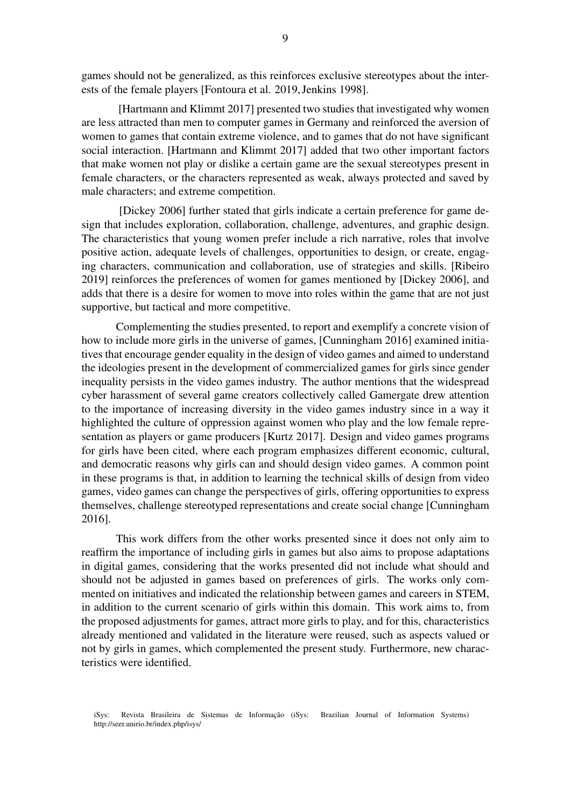games should not be generalized, as this reinforces exclusive stereotypes about the interests of the female players [Fontoura et al. 2019, Jenkins 1998].

[Hartmann and Klimmt 2017] presented two studies that investigated why women are less attracted than men to computer games in Germany and reinforced the aversion of women to games that contain extreme violence, and to games that do not have significant social interaction. [Hartmann and Klimmt 2017] added that two other important factors that make women not play or dislike a certain game are the sexual stereotypes present in female characters, or the characters represented as weak, always protected and saved by male characters; and extreme competition.

[Dickey 2006] further stated that girls indicate a certain preference for game design that includes exploration, collaboration, challenge, adventures, and graphic design. The characteristics that young women prefer include a rich narrative, roles that involve positive action, adequate levels of challenges, opportunities to design, or create, engaging characters, communication and collaboration, use of strategies and skills. [Ribeiro 2019] reinforces the preferences of women for games mentioned by [Dickey 2006], and adds that there is a desire for women to move into roles within the game that are not just supportive, but tactical and more competitive.

Complementing the studies presented, to report and exemplify a concrete vision of how to include more girls in the universe of games, [Cunningham 2016] examined initiatives that encourage gender equality in the design of video games and aimed to understand the ideologies present in the development of commercialized games for girls since gender inequality persists in the video games industry. The author mentions that the widespread cyber harassment of several game creators collectively called Gamergate drew attention to the importance of increasing diversity in the video games industry since in a way it highlighted the culture of oppression against women who play and the low female representation as players or game producers [Kurtz 2017]. Design and video games programs for girls have been cited, where each program emphasizes different economic, cultural, and democratic reasons why girls can and should design video games. A common point in these programs is that, in addition to learning the technical skills of design from video games, video games can change the perspectives of girls, offering opportunities to express themselves, challenge stereotyped representations and create social change [Cunningham 2016].

This work differs from the other works presented since it does not only aim to reaffirm the importance of including girls in games but also aims to propose adaptations in digital games, considering that the works presented did not include what should and should not be adjusted in games based on preferences of girls. The works only commented on initiatives and indicated the relationship between games and careers in STEM, in addition to the current scenario of girls within this domain. This work aims to, from the proposed adjustments for games, attract more girls to play, and for this, characteristics already mentioned and validated in the literature were reused, such as aspects valued or not by girls in games, which complemented the present study. Furthermore, new characteristics were identified.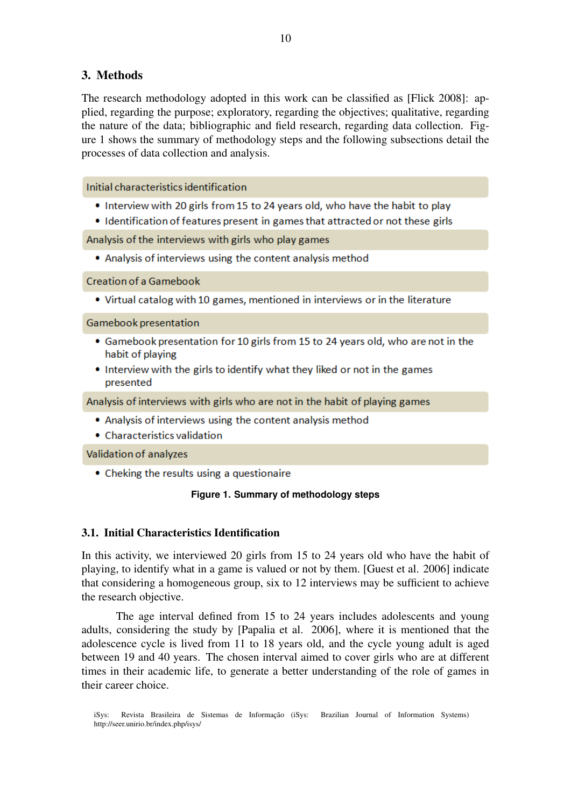# 3. Methods

The research methodology adopted in this work can be classified as [Flick 2008]: applied, regarding the purpose; exploratory, regarding the objectives; qualitative, regarding the nature of the data; bibliographic and field research, regarding data collection. Figure 1 shows the summary of methodology steps and the following subsections detail the processes of data collection and analysis.

Initial characteristics identification

- Interview with 20 girls from 15 to 24 years old, who have the habit to play
- Identification of features present in games that attracted or not these girls

Analysis of the interviews with girls who play games

• Analysis of interviews using the content analysis method

Creation of a Gamebook

• Virtual catalog with 10 games, mentioned in interviews or in the literature

Gamebook presentation

- Gamebook presentation for 10 girls from 15 to 24 years old, who are not in the habit of playing
- Interview with the girls to identify what they liked or not in the games presented

Analysis of interviews with girls who are not in the habit of playing games

- Analysis of interviews using the content analysis method
- Characteristics validation

Validation of analyzes

• Cheking the results using a questionaire

### **Figure 1. Summary of methodology steps**

## 3.1. Initial Characteristics Identification

In this activity, we interviewed 20 girls from 15 to 24 years old who have the habit of playing, to identify what in a game is valued or not by them. [Guest et al. 2006] indicate that considering a homogeneous group, six to 12 interviews may be sufficient to achieve the research objective.

The age interval defined from 15 to 24 years includes adolescents and young adults, considering the study by [Papalia et al. 2006], where it is mentioned that the adolescence cycle is lived from 11 to 18 years old, and the cycle young adult is aged between 19 and 40 years. The chosen interval aimed to cover girls who are at different times in their academic life, to generate a better understanding of the role of games in their career choice.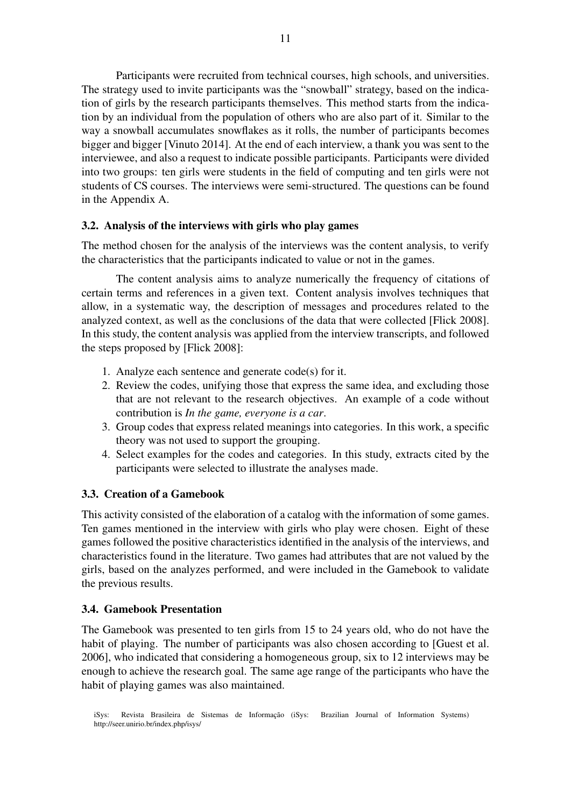Participants were recruited from technical courses, high schools, and universities. The strategy used to invite participants was the "snowball" strategy, based on the indication of girls by the research participants themselves. This method starts from the indication by an individual from the population of others who are also part of it. Similar to the way a snowball accumulates snowflakes as it rolls, the number of participants becomes bigger and bigger [Vinuto 2014]. At the end of each interview, a thank you was sent to the interviewee, and also a request to indicate possible participants. Participants were divided into two groups: ten girls were students in the field of computing and ten girls were not students of CS courses. The interviews were semi-structured. The questions can be found in the Appendix A.

## 3.2. Analysis of the interviews with girls who play games

The method chosen for the analysis of the interviews was the content analysis, to verify the characteristics that the participants indicated to value or not in the games.

The content analysis aims to analyze numerically the frequency of citations of certain terms and references in a given text. Content analysis involves techniques that allow, in a systematic way, the description of messages and procedures related to the analyzed context, as well as the conclusions of the data that were collected [Flick 2008]. In this study, the content analysis was applied from the interview transcripts, and followed the steps proposed by [Flick 2008]:

- 1. Analyze each sentence and generate code(s) for it.
- 2. Review the codes, unifying those that express the same idea, and excluding those that are not relevant to the research objectives. An example of a code without contribution is *In the game, everyone is a car*.
- 3. Group codes that express related meanings into categories. In this work, a specific theory was not used to support the grouping.
- 4. Select examples for the codes and categories. In this study, extracts cited by the participants were selected to illustrate the analyses made.

### 3.3. Creation of a Gamebook

This activity consisted of the elaboration of a catalog with the information of some games. Ten games mentioned in the interview with girls who play were chosen. Eight of these games followed the positive characteristics identified in the analysis of the interviews, and characteristics found in the literature. Two games had attributes that are not valued by the girls, based on the analyzes performed, and were included in the Gamebook to validate the previous results.

### 3.4. Gamebook Presentation

The Gamebook was presented to ten girls from 15 to 24 years old, who do not have the habit of playing. The number of participants was also chosen according to [Guest et al. 2006], who indicated that considering a homogeneous group, six to 12 interviews may be enough to achieve the research goal. The same age range of the participants who have the habit of playing games was also maintained.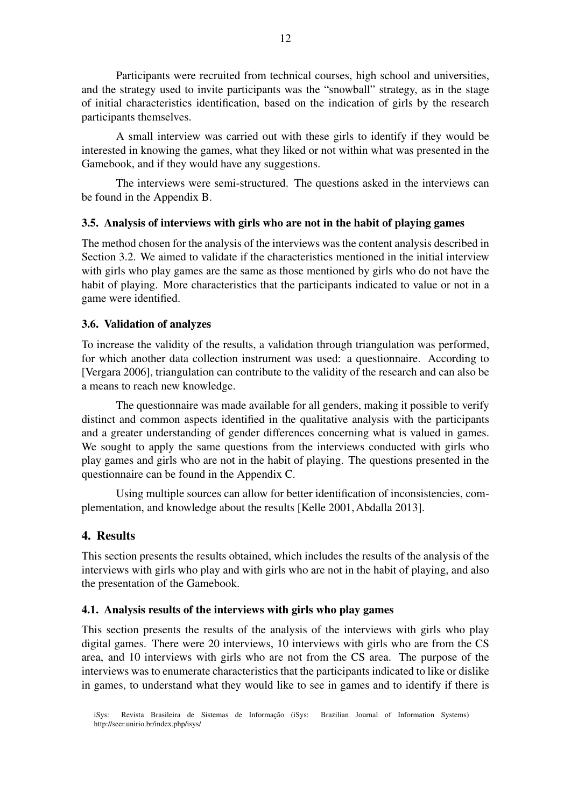Participants were recruited from technical courses, high school and universities, and the strategy used to invite participants was the "snowball" strategy, as in the stage of initial characteristics identification, based on the indication of girls by the research participants themselves.

A small interview was carried out with these girls to identify if they would be interested in knowing the games, what they liked or not within what was presented in the Gamebook, and if they would have any suggestions.

The interviews were semi-structured. The questions asked in the interviews can be found in the Appendix B.

### 3.5. Analysis of interviews with girls who are not in the habit of playing games

The method chosen for the analysis of the interviews was the content analysis described in Section 3.2. We aimed to validate if the characteristics mentioned in the initial interview with girls who play games are the same as those mentioned by girls who do not have the habit of playing. More characteristics that the participants indicated to value or not in a game were identified.

### 3.6. Validation of analyzes

To increase the validity of the results, a validation through triangulation was performed, for which another data collection instrument was used: a questionnaire. According to [Vergara 2006], triangulation can contribute to the validity of the research and can also be a means to reach new knowledge.

The questionnaire was made available for all genders, making it possible to verify distinct and common aspects identified in the qualitative analysis with the participants and a greater understanding of gender differences concerning what is valued in games. We sought to apply the same questions from the interviews conducted with girls who play games and girls who are not in the habit of playing. The questions presented in the questionnaire can be found in the Appendix C.

Using multiple sources can allow for better identification of inconsistencies, complementation, and knowledge about the results [Kelle 2001, Abdalla 2013].

## 4. Results

This section presents the results obtained, which includes the results of the analysis of the interviews with girls who play and with girls who are not in the habit of playing, and also the presentation of the Gamebook.

### 4.1. Analysis results of the interviews with girls who play games

This section presents the results of the analysis of the interviews with girls who play digital games. There were 20 interviews, 10 interviews with girls who are from the CS area, and 10 interviews with girls who are not from the CS area. The purpose of the interviews was to enumerate characteristics that the participants indicated to like or dislike in games, to understand what they would like to see in games and to identify if there is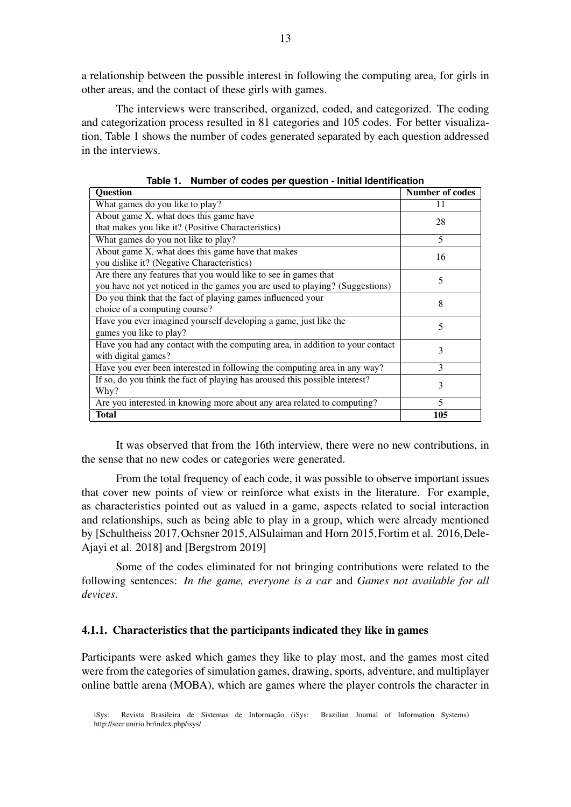a relationship between the possible interest in following the computing area, for girls in other areas, and the contact of these girls with games.

The interviews were transcribed, organized, coded, and categorized. The coding and categorization process resulted in 81 categories and 105 codes. For better visualization, Table 1 shows the number of codes generated separated by each question addressed in the interviews.

| <b>Question</b>                                                               | <b>Number of codes</b> |
|-------------------------------------------------------------------------------|------------------------|
| What games do you like to play?                                               | 11                     |
| About game X, what does this game have                                        | 28                     |
| that makes you like it? (Positive Characteristics)                            |                        |
| What games do you not like to play?                                           | 5                      |
| About game X, what does this game have that makes<br>16                       |                        |
| you dislike it? (Negative Characteristics)                                    |                        |
| Are there any features that you would like to see in games that               | 5                      |
| you have not yet noticed in the games you are used to playing? (Suggestions)  |                        |
| Do you think that the fact of playing games influenced your                   | 8                      |
| choice of a computing course?                                                 |                        |
| Have you ever imagined yourself developing a game, just like the              | 5                      |
| games you like to play?                                                       |                        |
| Have you had any contact with the computing area, in addition to your contact | 3                      |
| with digital games?                                                           |                        |
| Have you ever been interested in following the computing area in any way?     | 3                      |
| If so, do you think the fact of playing has aroused this possible interest?   | 3                      |
| Why?                                                                          |                        |
| Are you interested in knowing more about any area related to computing?       | 5                      |
| <b>Total</b>                                                                  | 105                    |

**Table 1. Number of codes per question - Initial Identification**

It was observed that from the 16th interview, there were no new contributions, in the sense that no new codes or categories were generated.

From the total frequency of each code, it was possible to observe important issues that cover new points of view or reinforce what exists in the literature. For example, as characteristics pointed out as valued in a game, aspects related to social interaction and relationships, such as being able to play in a group, which were already mentioned by [Schultheiss 2017,Ochsner 2015,AlSulaiman and Horn 2015,Fortim et al. 2016,Dele-Ajayi et al. 2018] and [Bergstrom 2019]

Some of the codes eliminated for not bringing contributions were related to the following sentences: *In the game, everyone is a car* and *Games not available for all devices*.

### 4.1.1. Characteristics that the participants indicated they like in games

Participants were asked which games they like to play most, and the games most cited were from the categories of simulation games, drawing, sports, adventure, and multiplayer online battle arena (MOBA), which are games where the player controls the character in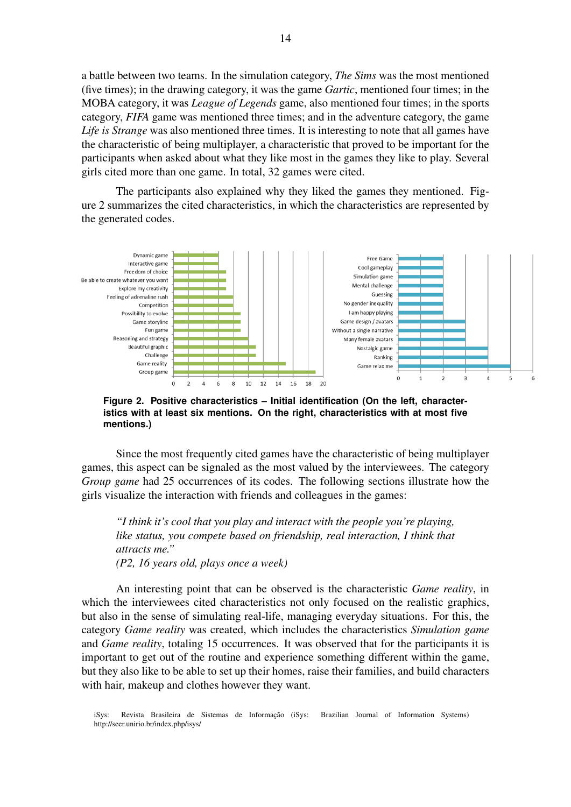a battle between two teams. In the simulation category, *The Sims* was the most mentioned (five times); in the drawing category, it was the game *Gartic*, mentioned four times; in the MOBA category, it was *League of Legends* game, also mentioned four times; in the sports category, *FIFA* game was mentioned three times; and in the adventure category, the game *Life is Strange* was also mentioned three times. It is interesting to note that all games have the characteristic of being multiplayer, a characteristic that proved to be important for the participants when asked about what they like most in the games they like to play. Several girls cited more than one game. In total, 32 games were cited.

The participants also explained why they liked the games they mentioned. Figure 2 summarizes the cited characteristics, in which the characteristics are represented by the generated codes.



**Figure 2. Positive characteristics – Initial identification (On the left, characteristics with at least six mentions. On the right, characteristics with at most five mentions.)**

Since the most frequently cited games have the characteristic of being multiplayer games, this aspect can be signaled as the most valued by the interviewees. The category *Group game* had 25 occurrences of its codes. The following sections illustrate how the girls visualize the interaction with friends and colleagues in the games:

*"I think it's cool that you play and interact with the people you're playing, like status, you compete based on friendship, real interaction, I think that attracts me." (P2, 16 years old, plays once a week)*

An interesting point that can be observed is the characteristic *Game reality*, in which the interviewees cited characteristics not only focused on the realistic graphics, but also in the sense of simulating real-life, managing everyday situations. For this, the category *Game reality* was created, which includes the characteristics *Simulation game* and *Game reality*, totaling 15 occurrences. It was observed that for the participants it is important to get out of the routine and experience something different within the game, but they also like to be able to set up their homes, raise their families, and build characters with hair, makeup and clothes however they want.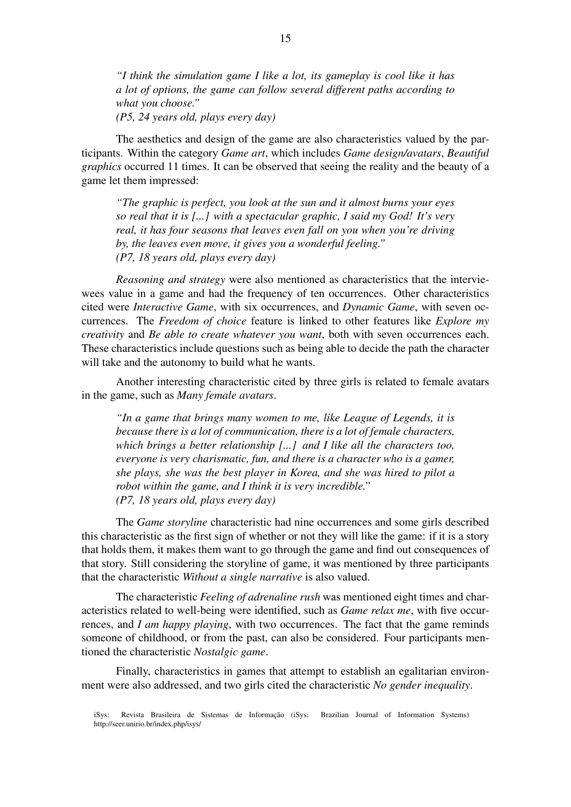*"I think the simulation game I like a lot, its gameplay is cool like it has a lot of options, the game can follow several different paths according to what you choose." (P5, 24 years old, plays every day)*

The aesthetics and design of the game are also characteristics valued by the participants. Within the category *Game art*, which includes *Game design/avatars*, *Beautiful graphics* occurred 11 times. It can be observed that seeing the reality and the beauty of a game let them impressed:

*"The graphic is perfect, you look at the sun and it almost burns your eyes so real that it is [...] with a spectacular graphic, I said my God! It's very real, it has four seasons that leaves even fall on you when you're driving by, the leaves even move, it gives you a wonderful feeling." (P7, 18 years old, plays every day)*

*Reasoning and strategy* were also mentioned as characteristics that the interviewees value in a game and had the frequency of ten occurrences. Other characteristics cited were *Interactive Game*, with six occurrences, and *Dynamic Game*, with seven occurrences. The *Freedom of choice* feature is linked to other features like *Explore my creativity* and *Be able to create whatever you want*, both with seven occurrences each. These characteristics include questions such as being able to decide the path the character will take and the autonomy to build what he wants.

Another interesting characteristic cited by three girls is related to female avatars in the game, such as *Many female avatars*.

*"In a game that brings many women to me, like League of Legends, it is because there is a lot of communication, there is a lot of female characters, which brings a better relationship [...] and I like all the characters too, everyone is very charismatic, fun, and there is a character who is a gamer, she plays, she was the best player in Korea, and she was hired to pilot a robot within the game, and I think it is very incredible." (P7, 18 years old, plays every day)*

The *Game storyline* characteristic had nine occurrences and some girls described this characteristic as the first sign of whether or not they will like the game: if it is a story that holds them, it makes them want to go through the game and find out consequences of that story. Still considering the storyline of game, it was mentioned by three participants that the characteristic *Without a single narrative* is also valued.

The characteristic *Feeling of adrenaline rush* was mentioned eight times and characteristics related to well-being were identified, such as *Game relax me*, with five occurrences, and *I am happy playing*, with two occurrences. The fact that the game reminds someone of childhood, or from the past, can also be considered. Four participants mentioned the characteristic *Nostalgic game*.

Finally, characteristics in games that attempt to establish an egalitarian environment were also addressed, and two girls cited the characteristic *No gender inequality*.

iSys: Revista Brasileira de Sistemas de Informação (iSys: Brazilian Journal of Information Systems) http://seer.unirio.br/index.php/isys/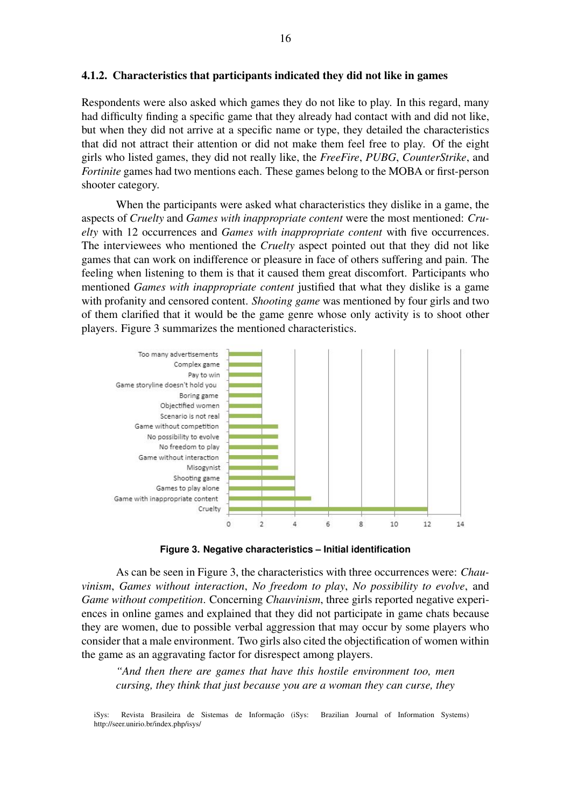#### 4.1.2. Characteristics that participants indicated they did not like in games

Respondents were also asked which games they do not like to play. In this regard, many had difficulty finding a specific game that they already had contact with and did not like, but when they did not arrive at a specific name or type, they detailed the characteristics that did not attract their attention or did not make them feel free to play. Of the eight girls who listed games, they did not really like, the *FreeFire*, *PUBG*, *CounterStrike*, and *Fortinite* games had two mentions each. These games belong to the MOBA or first-person shooter category.

When the participants were asked what characteristics they dislike in a game, the aspects of *Cruelty* and *Games with inappropriate content* were the most mentioned: *Cruelty* with 12 occurrences and *Games with inappropriate content* with five occurrences. The interviewees who mentioned the *Cruelty* aspect pointed out that they did not like games that can work on indifference or pleasure in face of others suffering and pain. The feeling when listening to them is that it caused them great discomfort. Participants who mentioned *Games with inappropriate content* justified that what they dislike is a game with profanity and censored content. *Shooting game* was mentioned by four girls and two of them clarified that it would be the game genre whose only activity is to shoot other players. Figure 3 summarizes the mentioned characteristics.



**Figure 3. Negative characteristics – Initial identification**

As can be seen in Figure 3, the characteristics with three occurrences were: *Chauvinism*, *Games without interaction*, *No freedom to play*, *No possibility to evolve*, and *Game without competition*. Concerning *Chauvinism*, three girls reported negative experiences in online games and explained that they did not participate in game chats because they are women, due to possible verbal aggression that may occur by some players who consider that a male environment. Two girls also cited the objectification of women within the game as an aggravating factor for disrespect among players.

*"And then there are games that have this hostile environment too, men cursing, they think that just because you are a woman they can curse, they*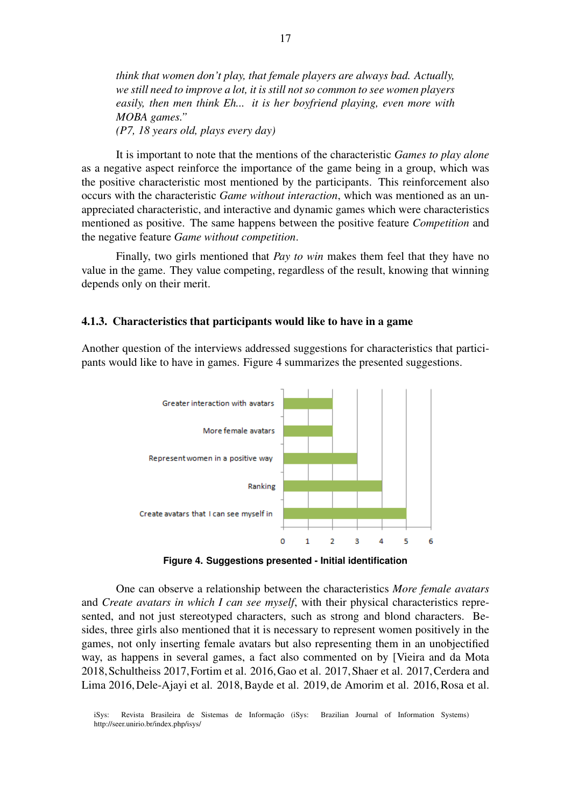*think that women don't play, that female players are always bad. Actually, we still need to improve a lot, it is still not so common to see women players easily, then men think Eh... it is her boyfriend playing, even more with MOBA games." (P7, 18 years old, plays every day)*

It is important to note that the mentions of the characteristic *Games to play alone* as a negative aspect reinforce the importance of the game being in a group, which was the positive characteristic most mentioned by the participants. This reinforcement also occurs with the characteristic *Game without interaction*, which was mentioned as an unappreciated characteristic, and interactive and dynamic games which were characteristics mentioned as positive. The same happens between the positive feature *Competition* and the negative feature *Game without competition*.

Finally, two girls mentioned that *Pay to win* makes them feel that they have no value in the game. They value competing, regardless of the result, knowing that winning depends only on their merit.

#### 4.1.3. Characteristics that participants would like to have in a game

Another question of the interviews addressed suggestions for characteristics that participants would like to have in games. Figure 4 summarizes the presented suggestions.



**Figure 4. Suggestions presented - Initial identification**

One can observe a relationship between the characteristics *More female avatars* and *Create avatars in which I can see myself*, with their physical characteristics represented, and not just stereotyped characters, such as strong and blond characters. Besides, three girls also mentioned that it is necessary to represent women positively in the games, not only inserting female avatars but also representing them in an unobjectified way, as happens in several games, a fact also commented on by [Vieira and da Mota 2018,Schultheiss 2017,Fortim et al. 2016,Gao et al. 2017,Shaer et al. 2017,Cerdera and Lima 2016, Dele-Ajayi et al. 2018, Bayde et al. 2019, de Amorim et al. 2016, Rosa et al.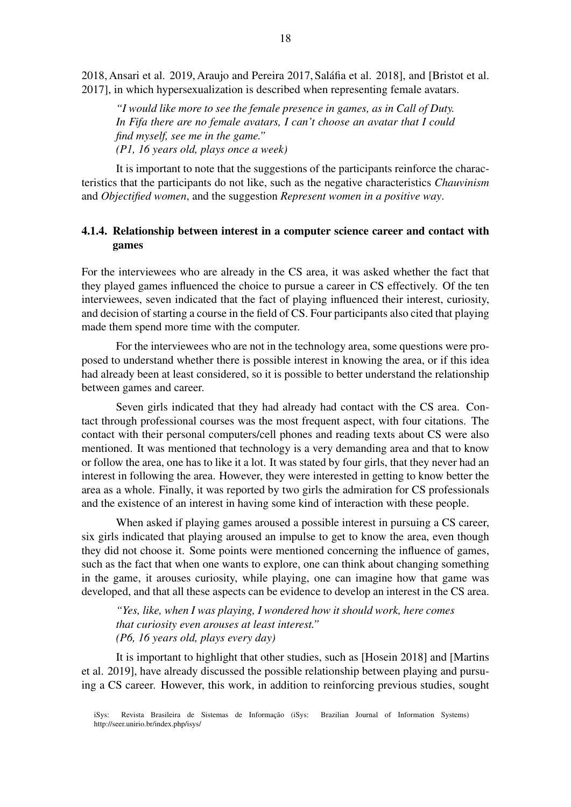2018, Ansari et al. 2019, Araujo and Pereira 2017, Salafia et al. 2018], and [Bristot et al. ´ 2017], in which hypersexualization is described when representing female avatars.

*"I would like more to see the female presence in games, as in Call of Duty. In Fifa there are no female avatars, I can't choose an avatar that I could find myself, see me in the game." (P1, 16 years old, plays once a week)*

It is important to note that the suggestions of the participants reinforce the characteristics that the participants do not like, such as the negative characteristics *Chauvinism* and *Objectified women*, and the suggestion *Represent women in a positive way*.

# 4.1.4. Relationship between interest in a computer science career and contact with games

For the interviewees who are already in the CS area, it was asked whether the fact that they played games influenced the choice to pursue a career in CS effectively. Of the ten interviewees, seven indicated that the fact of playing influenced their interest, curiosity, and decision of starting a course in the field of CS. Four participants also cited that playing made them spend more time with the computer.

For the interviewees who are not in the technology area, some questions were proposed to understand whether there is possible interest in knowing the area, or if this idea had already been at least considered, so it is possible to better understand the relationship between games and career.

Seven girls indicated that they had already had contact with the CS area. Contact through professional courses was the most frequent aspect, with four citations. The contact with their personal computers/cell phones and reading texts about CS were also mentioned. It was mentioned that technology is a very demanding area and that to know or follow the area, one has to like it a lot. It was stated by four girls, that they never had an interest in following the area. However, they were interested in getting to know better the area as a whole. Finally, it was reported by two girls the admiration for CS professionals and the existence of an interest in having some kind of interaction with these people.

When asked if playing games aroused a possible interest in pursuing a CS career, six girls indicated that playing aroused an impulse to get to know the area, even though they did not choose it. Some points were mentioned concerning the influence of games, such as the fact that when one wants to explore, one can think about changing something in the game, it arouses curiosity, while playing, one can imagine how that game was developed, and that all these aspects can be evidence to develop an interest in the CS area.

*"Yes, like, when I was playing, I wondered how it should work, here comes that curiosity even arouses at least interest." (P6, 16 years old, plays every day)*

It is important to highlight that other studies, such as [Hosein 2018] and [Martins et al. 2019], have already discussed the possible relationship between playing and pursuing a CS career. However, this work, in addition to reinforcing previous studies, sought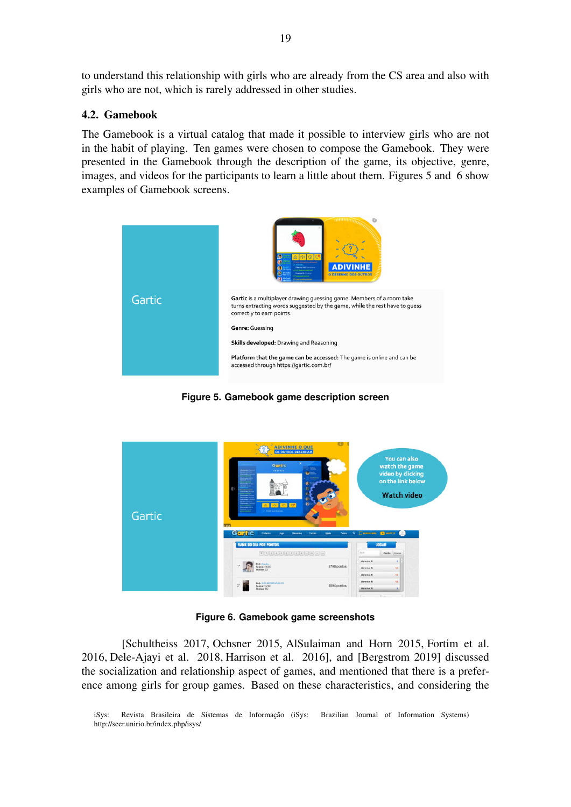to understand this relationship with girls who are already from the CS area and also with girls who are not, which is rarely addressed in other studies.

## 4.2. Gamebook

The Gamebook is a virtual catalog that made it possible to interview girls who are not in the habit of playing. Ten games were chosen to compose the Gamebook. They were presented in the Gamebook through the description of the game, its objective, genre, images, and videos for the participants to learn a little about them. Figures 5 and 6 show examples of Gamebook screens.



**Figure 5. Gamebook game description screen**



**Figure 6. Gamebook game screenshots**

[Schultheiss 2017, Ochsner 2015, AlSulaiman and Horn 2015, Fortim et al. 2016, Dele-Ajayi et al. 2018, Harrison et al. 2016], and [Bergstrom 2019] discussed the socialization and relationship aspect of games, and mentioned that there is a preference among girls for group games. Based on these characteristics, and considering the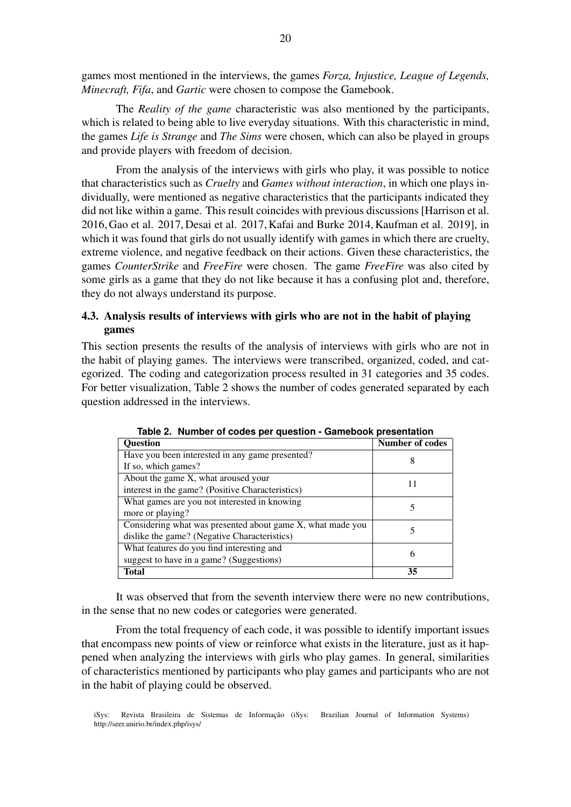games most mentioned in the interviews, the games *Forza, Injustice, League of Legends, Minecraft, Fifa*, and *Gartic* were chosen to compose the Gamebook.

The *Reality of the game* characteristic was also mentioned by the participants, which is related to being able to live everyday situations. With this characteristic in mind, the games *Life is Strange* and *The Sims* were chosen, which can also be played in groups and provide players with freedom of decision.

From the analysis of the interviews with girls who play, it was possible to notice that characteristics such as *Cruelty* and *Games without interaction*, in which one plays individually, were mentioned as negative characteristics that the participants indicated they did not like within a game. This result coincides with previous discussions [Harrison et al. 2016, Gao et al. 2017, Desai et al. 2017, Kafai and Burke 2014, Kaufman et al. 2019], in which it was found that girls do not usually identify with games in which there are cruelty, extreme violence, and negative feedback on their actions. Given these characteristics, the games *CounterStrike* and *FreeFire* were chosen. The game *FreeFire* was also cited by some girls as a game that they do not like because it has a confusing plot and, therefore, they do not always understand its purpose.

# 4.3. Analysis results of interviews with girls who are not in the habit of playing games

This section presents the results of the analysis of interviews with girls who are not in the habit of playing games. The interviews were transcribed, organized, coded, and categorized. The coding and categorization process resulted in 31 categories and 35 codes. For better visualization, Table 2 shows the number of codes generated separated by each question addressed in the interviews.

| <b>Question</b>                                            | <b>Number of codes</b> |  |
|------------------------------------------------------------|------------------------|--|
| Have you been interested in any game presented?            | 8                      |  |
| If so, which games?                                        |                        |  |
| About the game X, what aroused your                        | 11                     |  |
| interest in the game? (Positive Characteristics)           |                        |  |
| What games are you not interested in knowing               |                        |  |
| more or playing?                                           |                        |  |
| Considering what was presented about game X, what made you |                        |  |
| dislike the game? (Negative Characteristics)               |                        |  |
| What features do you find interesting and                  | 6                      |  |
| suggest to have in a game? (Suggestions)                   |                        |  |
| <b>Total</b>                                               | 35                     |  |

**Table 2. Number of codes per question - Gamebook presentation**

It was observed that from the seventh interview there were no new contributions, in the sense that no new codes or categories were generated.

From the total frequency of each code, it was possible to identify important issues that encompass new points of view or reinforce what exists in the literature, just as it happened when analyzing the interviews with girls who play games. In general, similarities of characteristics mentioned by participants who play games and participants who are not in the habit of playing could be observed.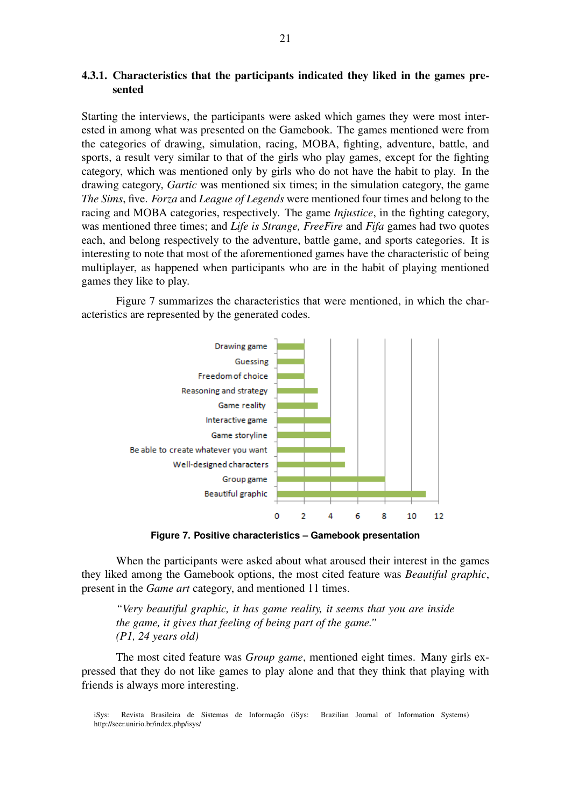# 4.3.1. Characteristics that the participants indicated they liked in the games presented

Starting the interviews, the participants were asked which games they were most interested in among what was presented on the Gamebook. The games mentioned were from the categories of drawing, simulation, racing, MOBA, fighting, adventure, battle, and sports, a result very similar to that of the girls who play games, except for the fighting category, which was mentioned only by girls who do not have the habit to play. In the drawing category, *Gartic* was mentioned six times; in the simulation category, the game *The Sims*, five. *Forza* and *League of Legends* were mentioned four times and belong to the racing and MOBA categories, respectively. The game *Injustice*, in the fighting category, was mentioned three times; and *Life is Strange, FreeFire* and *Fifa* games had two quotes each, and belong respectively to the adventure, battle game, and sports categories. It is interesting to note that most of the aforementioned games have the characteristic of being multiplayer, as happened when participants who are in the habit of playing mentioned games they like to play.

Figure 7 summarizes the characteristics that were mentioned, in which the characteristics are represented by the generated codes.



**Figure 7. Positive characteristics – Gamebook presentation**

When the participants were asked about what aroused their interest in the games they liked among the Gamebook options, the most cited feature was *Beautiful graphic*, present in the *Game art* category, and mentioned 11 times.

*"Very beautiful graphic, it has game reality, it seems that you are inside the game, it gives that feeling of being part of the game." (P1, 24 years old)*

The most cited feature was *Group game*, mentioned eight times. Many girls expressed that they do not like games to play alone and that they think that playing with friends is always more interesting.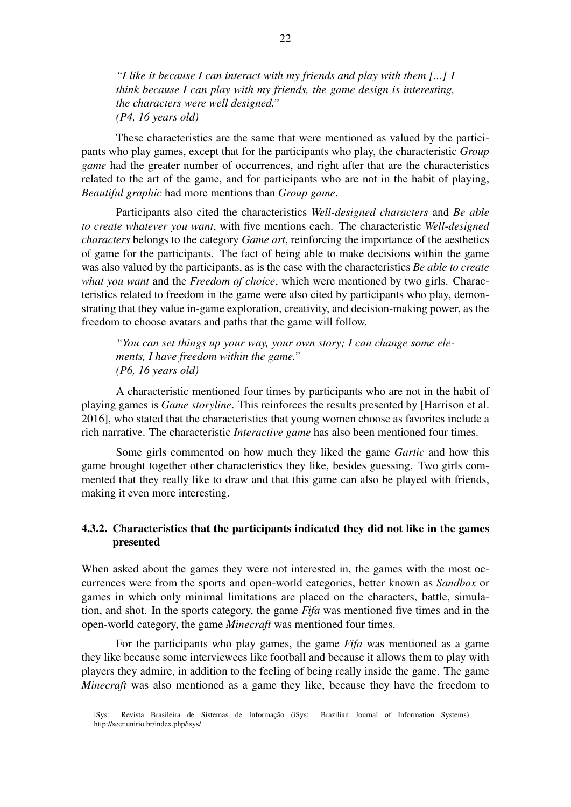*"I like it because I can interact with my friends and play with them [...] I think because I can play with my friends, the game design is interesting, the characters were well designed." (P4, 16 years old)*

These characteristics are the same that were mentioned as valued by the participants who play games, except that for the participants who play, the characteristic *Group game* had the greater number of occurrences, and right after that are the characteristics related to the art of the game, and for participants who are not in the habit of playing, *Beautiful graphic* had more mentions than *Group game*.

Participants also cited the characteristics *Well-designed characters* and *Be able to create whatever you want*, with five mentions each. The characteristic *Well-designed characters* belongs to the category *Game art*, reinforcing the importance of the aesthetics of game for the participants. The fact of being able to make decisions within the game was also valued by the participants, as is the case with the characteristics *Be able to create what you want* and the *Freedom of choice*, which were mentioned by two girls. Characteristics related to freedom in the game were also cited by participants who play, demonstrating that they value in-game exploration, creativity, and decision-making power, as the freedom to choose avatars and paths that the game will follow.

*"You can set things up your way, your own story; I can change some elements, I have freedom within the game." (P6, 16 years old)*

A characteristic mentioned four times by participants who are not in the habit of playing games is *Game storyline*. This reinforces the results presented by [Harrison et al. 2016], who stated that the characteristics that young women choose as favorites include a rich narrative. The characteristic *Interactive game* has also been mentioned four times.

Some girls commented on how much they liked the game *Gartic* and how this game brought together other characteristics they like, besides guessing. Two girls commented that they really like to draw and that this game can also be played with friends, making it even more interesting.

# 4.3.2. Characteristics that the participants indicated they did not like in the games presented

When asked about the games they were not interested in, the games with the most occurrences were from the sports and open-world categories, better known as *Sandbox* or games in which only minimal limitations are placed on the characters, battle, simulation, and shot. In the sports category, the game *Fifa* was mentioned five times and in the open-world category, the game *Minecraft* was mentioned four times.

For the participants who play games, the game *Fifa* was mentioned as a game they like because some interviewees like football and because it allows them to play with players they admire, in addition to the feeling of being really inside the game. The game *Minecraft* was also mentioned as a game they like, because they have the freedom to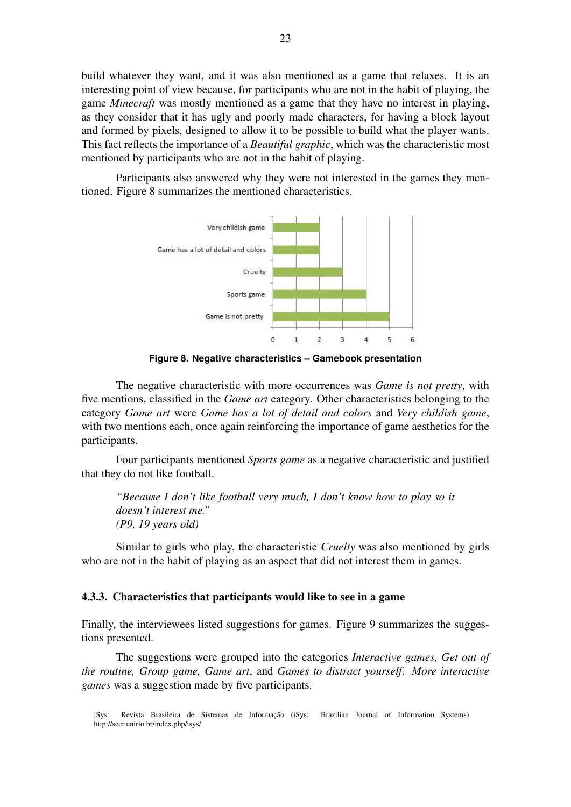build whatever they want, and it was also mentioned as a game that relaxes. It is an interesting point of view because, for participants who are not in the habit of playing, the game *Minecraft* was mostly mentioned as a game that they have no interest in playing, as they consider that it has ugly and poorly made characters, for having a block layout and formed by pixels, designed to allow it to be possible to build what the player wants. This fact reflects the importance of a *Beautiful graphic*, which was the characteristic most mentioned by participants who are not in the habit of playing.

Participants also answered why they were not interested in the games they mentioned. Figure 8 summarizes the mentioned characteristics.



**Figure 8. Negative characteristics – Gamebook presentation**

The negative characteristic with more occurrences was *Game is not pretty*, with five mentions, classified in the *Game art* category. Other characteristics belonging to the category *Game art* were *Game has a lot of detail and colors* and *Very childish game*, with two mentions each, once again reinforcing the importance of game aesthetics for the participants.

Four participants mentioned *Sports game* as a negative characteristic and justified that they do not like football.

*"Because I don't like football very much, I don't know how to play so it doesn't interest me." (P9, 19 years old)*

Similar to girls who play, the characteristic *Cruelty* was also mentioned by girls who are not in the habit of playing as an aspect that did not interest them in games.

### 4.3.3. Characteristics that participants would like to see in a game

Finally, the interviewees listed suggestions for games. Figure 9 summarizes the suggestions presented.

The suggestions were grouped into the categories *Interactive games, Get out of the routine, Group game, Game art*, and *Games to distract yourself*. *More interactive games* was a suggestion made by five participants.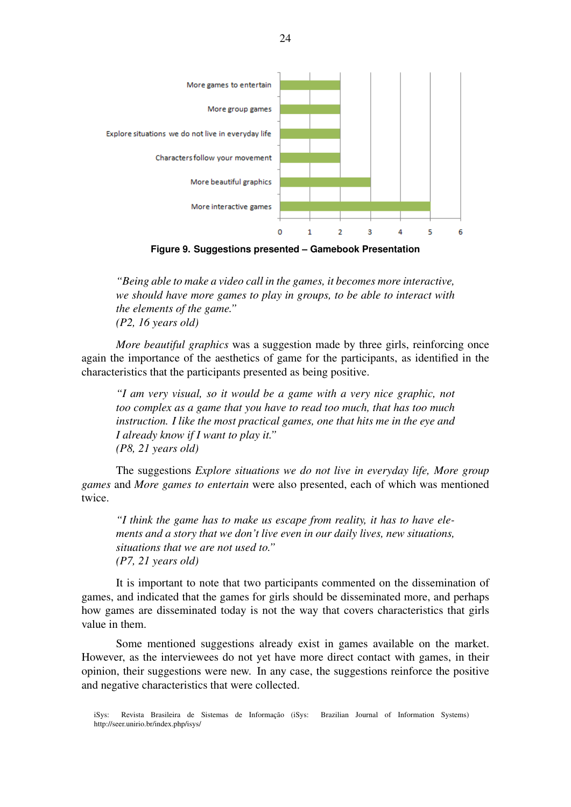

**Figure 9. Suggestions presented – Gamebook Presentation**

*"Being able to make a video call in the games, it becomes more interactive, we should have more games to play in groups, to be able to interact with the elements of the game." (P2, 16 years old)*

*More beautiful graphics* was a suggestion made by three girls, reinforcing once again the importance of the aesthetics of game for the participants, as identified in the characteristics that the participants presented as being positive.

*"I am very visual, so it would be a game with a very nice graphic, not too complex as a game that you have to read too much, that has too much instruction. I like the most practical games, one that hits me in the eye and I already know if I want to play it." (P8, 21 years old)*

The suggestions *Explore situations we do not live in everyday life, More group games* and *More games to entertain* were also presented, each of which was mentioned twice.

*"I think the game has to make us escape from reality, it has to have elements and a story that we don't live even in our daily lives, new situations, situations that we are not used to." (P7, 21 years old)*

It is important to note that two participants commented on the dissemination of games, and indicated that the games for girls should be disseminated more, and perhaps how games are disseminated today is not the way that covers characteristics that girls value in them.

Some mentioned suggestions already exist in games available on the market. However, as the interviewees do not yet have more direct contact with games, in their opinion, their suggestions were new. In any case, the suggestions reinforce the positive and negative characteristics that were collected.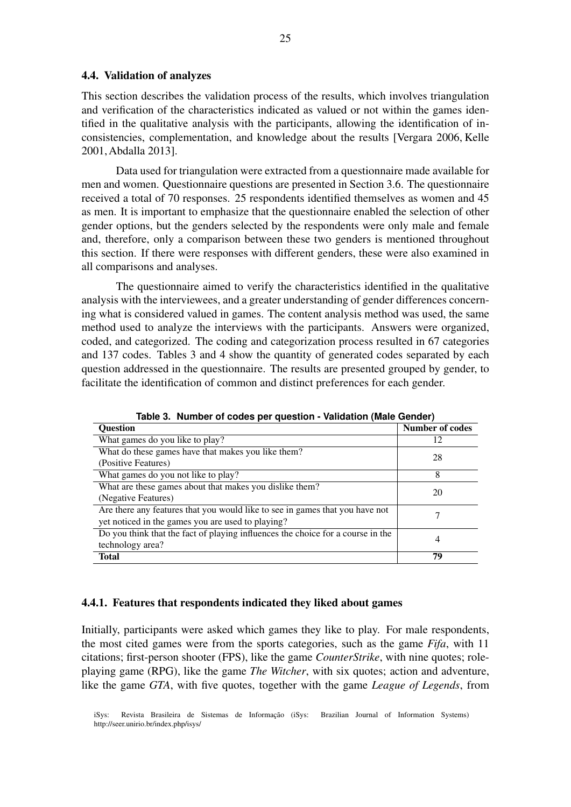#### 4.4. Validation of analyzes

This section describes the validation process of the results, which involves triangulation and verification of the characteristics indicated as valued or not within the games identified in the qualitative analysis with the participants, allowing the identification of inconsistencies, complementation, and knowledge about the results [Vergara 2006, Kelle 2001, Abdalla 2013].

Data used for triangulation were extracted from a questionnaire made available for men and women. Questionnaire questions are presented in Section 3.6. The questionnaire received a total of 70 responses. 25 respondents identified themselves as women and 45 as men. It is important to emphasize that the questionnaire enabled the selection of other gender options, but the genders selected by the respondents were only male and female and, therefore, only a comparison between these two genders is mentioned throughout this section. If there were responses with different genders, these were also examined in all comparisons and analyses.

The questionnaire aimed to verify the characteristics identified in the qualitative analysis with the interviewees, and a greater understanding of gender differences concerning what is considered valued in games. The content analysis method was used, the same method used to analyze the interviews with the participants. Answers were organized, coded, and categorized. The coding and categorization process resulted in 67 categories and 137 codes. Tables 3 and 4 show the quantity of generated codes separated by each question addressed in the questionnaire. The results are presented grouped by gender, to facilitate the identification of common and distinct preferences for each gender.

| Table of Trailiber of coacs per gacstron - validation (maic defiaci)            |                        |  |
|---------------------------------------------------------------------------------|------------------------|--|
| <b>Ouestion</b>                                                                 | <b>Number of codes</b> |  |
| What games do you like to play?                                                 | 12                     |  |
| What do these games have that makes you like them?                              | 28                     |  |
| (Positive Features)                                                             |                        |  |
| What games do you not like to play?                                             | 8                      |  |
| What are these games about that makes you dislike them?                         | 20                     |  |
| (Negative Features)                                                             |                        |  |
| Are there any features that you would like to see in games that you have not    |                        |  |
| yet noticed in the games you are used to playing?                               |                        |  |
| Do you think that the fact of playing influences the choice for a course in the | 4                      |  |
| technology area?                                                                |                        |  |
| <b>Total</b>                                                                    | 79                     |  |

**Table 3. Number of codes per question - Validation (Male Gender)**

#### 4.4.1. Features that respondents indicated they liked about games

Initially, participants were asked which games they like to play. For male respondents, the most cited games were from the sports categories, such as the game *Fifa*, with 11 citations; first-person shooter (FPS), like the game *CounterStrike*, with nine quotes; roleplaying game (RPG), like the game *The Witcher*, with six quotes; action and adventure, like the game *GTA*, with five quotes, together with the game *League of Legends*, from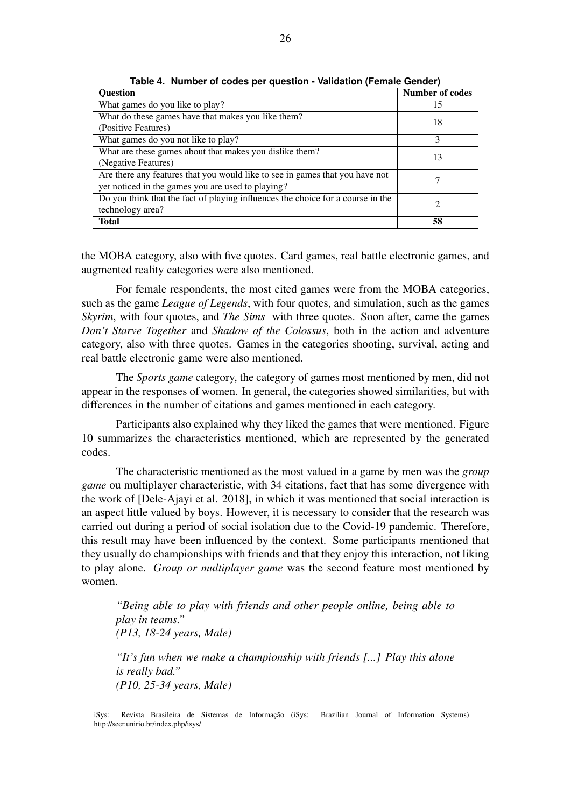| <b>Question</b>                                                                 | <b>Number of codes</b> |
|---------------------------------------------------------------------------------|------------------------|
| What games do you like to play?                                                 | 15                     |
| What do these games have that makes you like them?                              | 18                     |
| (Positive Features)                                                             |                        |
| What games do you not like to play?                                             | 3                      |
| What are these games about that makes you dislike them?                         | 13                     |
| (Negative Features)                                                             |                        |
| Are there any features that you would like to see in games that you have not    |                        |
| yet noticed in the games you are used to playing?                               |                        |
| Do you think that the fact of playing influences the choice for a course in the | 2                      |
| technology area?                                                                |                        |
| <b>Total</b>                                                                    | 58                     |

**Table 4. Number of codes per question - Validation (Female Gender)**

the MOBA category, also with five quotes. Card games, real battle electronic games, and augmented reality categories were also mentioned.

For female respondents, the most cited games were from the MOBA categories, such as the game *League of Legends*, with four quotes, and simulation, such as the games *Skyrim*, with four quotes, and *The Sims* with three quotes. Soon after, came the games *Don't Starve Together* and *Shadow of the Colossus*, both in the action and adventure category, also with three quotes. Games in the categories shooting, survival, acting and real battle electronic game were also mentioned.

The *Sports game* category, the category of games most mentioned by men, did not appear in the responses of women. In general, the categories showed similarities, but with differences in the number of citations and games mentioned in each category.

Participants also explained why they liked the games that were mentioned. Figure 10 summarizes the characteristics mentioned, which are represented by the generated codes.

The characteristic mentioned as the most valued in a game by men was the *group game* ou multiplayer characteristic, with 34 citations, fact that has some divergence with the work of [Dele-Ajayi et al. 2018], in which it was mentioned that social interaction is an aspect little valued by boys. However, it is necessary to consider that the research was carried out during a period of social isolation due to the Covid-19 pandemic. Therefore, this result may have been influenced by the context. Some participants mentioned that they usually do championships with friends and that they enjoy this interaction, not liking to play alone. *Group or multiplayer game* was the second feature most mentioned by women.

*"Being able to play with friends and other people online, being able to play in teams." (P13, 18-24 years, Male)*

*"It's fun when we make a championship with friends [...] Play this alone is really bad." (P10, 25-34 years, Male)*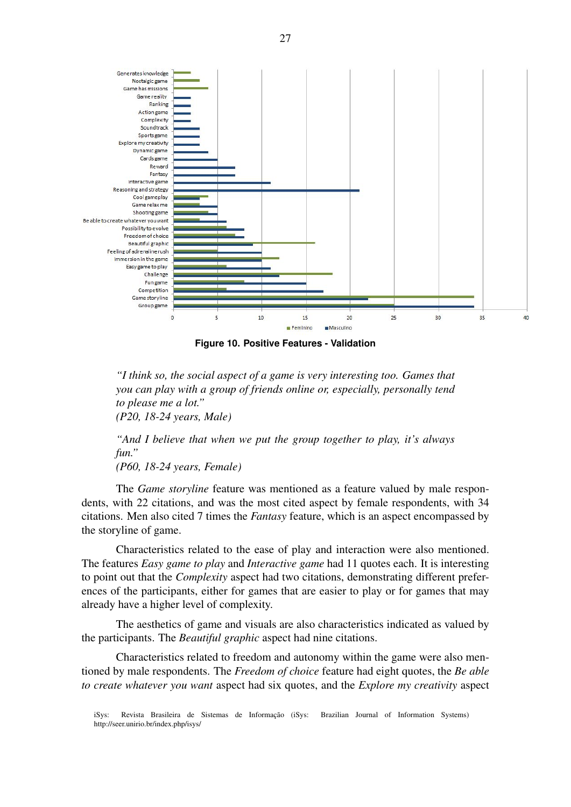

**Figure 10. Positive Features - Validation**

*"I think so, the social aspect of a game is very interesting too. Games that you can play with a group of friends online or, especially, personally tend to please me a lot." (P20, 18-24 years, Male)*

*"And I believe that when we put the group together to play, it's always fun."*

*(P60, 18-24 years, Female)*

The *Game storyline* feature was mentioned as a feature valued by male respondents, with 22 citations, and was the most cited aspect by female respondents, with 34 citations. Men also cited 7 times the *Fantasy* feature, which is an aspect encompassed by the storyline of game.

Characteristics related to the ease of play and interaction were also mentioned. The features *Easy game to play* and *Interactive game* had 11 quotes each. It is interesting to point out that the *Complexity* aspect had two citations, demonstrating different preferences of the participants, either for games that are easier to play or for games that may already have a higher level of complexity.

The aesthetics of game and visuals are also characteristics indicated as valued by the participants. The *Beautiful graphic* aspect had nine citations.

Characteristics related to freedom and autonomy within the game were also mentioned by male respondents. The *Freedom of choice* feature had eight quotes, the *Be able to create whatever you want* aspect had six quotes, and the *Explore my creativity* aspect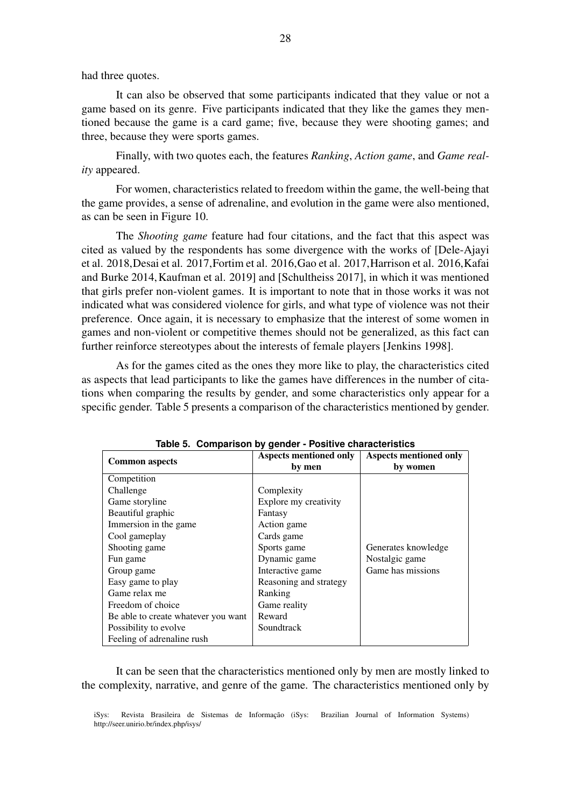had three quotes.

It can also be observed that some participants indicated that they value or not a game based on its genre. Five participants indicated that they like the games they mentioned because the game is a card game; five, because they were shooting games; and three, because they were sports games.

Finally, with two quotes each, the features *Ranking*, *Action game*, and *Game reality* appeared.

For women, characteristics related to freedom within the game, the well-being that the game provides, a sense of adrenaline, and evolution in the game were also mentioned, as can be seen in Figure 10.

The *Shooting game* feature had four citations, and the fact that this aspect was cited as valued by the respondents has some divergence with the works of [Dele-Ajayi et al. 2018,Desai et al. 2017,Fortim et al. 2016,Gao et al. 2017,Harrison et al. 2016,Kafai and Burke 2014,Kaufman et al. 2019] and [Schultheiss 2017], in which it was mentioned that girls prefer non-violent games. It is important to note that in those works it was not indicated what was considered violence for girls, and what type of violence was not their preference. Once again, it is necessary to emphasize that the interest of some women in games and non-violent or competitive themes should not be generalized, as this fact can further reinforce stereotypes about the interests of female players [Jenkins 1998].

As for the games cited as the ones they more like to play, the characteristics cited as aspects that lead participants to like the games have differences in the number of citations when comparing the results by gender, and some characteristics only appear for a specific gender. Table 5 presents a comparison of the characteristics mentioned by gender.

|                                     | rapio or companioni by gondor i contro characteriotico |                                           |
|-------------------------------------|--------------------------------------------------------|-------------------------------------------|
| <b>Common aspects</b>               | <b>Aspects mentioned only</b><br>by men                | <b>Aspects mentioned only</b><br>by women |
| Competition                         |                                                        |                                           |
| Challenge                           | Complexity                                             |                                           |
| Game storyline                      | Explore my creativity                                  |                                           |
| Beautiful graphic                   | Fantasy                                                |                                           |
| Immersion in the game               | Action game                                            |                                           |
| Cool gameplay                       | Cards game                                             |                                           |
| Shooting game                       | Sports game                                            | Generates knowledge                       |
| Fun game                            | Dynamic game                                           | Nostalgic game                            |
| Group game                          | Interactive game                                       | Game has missions                         |
| Easy game to play                   | Reasoning and strategy                                 |                                           |
| Game relax me                       | Ranking                                                |                                           |
| Freedom of choice                   | Game reality                                           |                                           |
| Be able to create whatever you want | Reward                                                 |                                           |
| Possibility to evolve               | Soundtrack                                             |                                           |
| Feeling of adrenaline rush          |                                                        |                                           |

**Table 5. Comparison by gender - Positive characteristics**

It can be seen that the characteristics mentioned only by men are mostly linked to the complexity, narrative, and genre of the game. The characteristics mentioned only by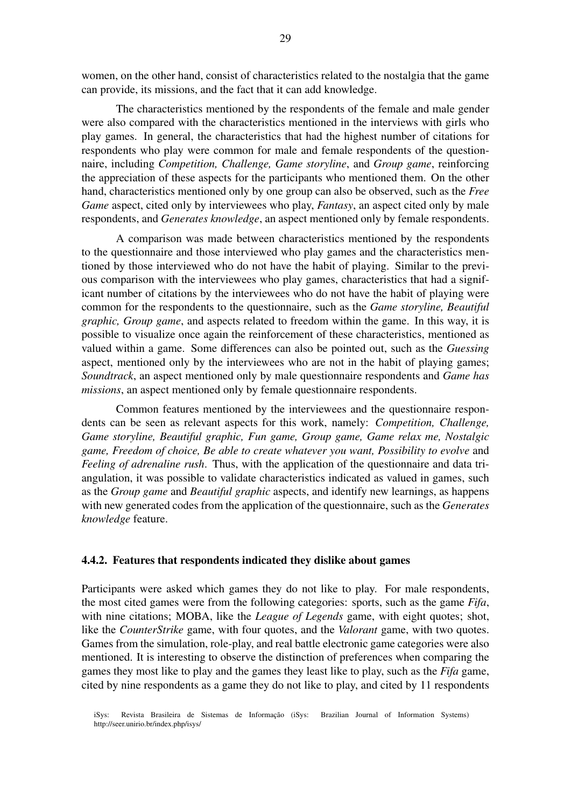women, on the other hand, consist of characteristics related to the nostalgia that the game can provide, its missions, and the fact that it can add knowledge.

The characteristics mentioned by the respondents of the female and male gender were also compared with the characteristics mentioned in the interviews with girls who play games. In general, the characteristics that had the highest number of citations for respondents who play were common for male and female respondents of the questionnaire, including *Competition, Challenge, Game storyline*, and *Group game*, reinforcing the appreciation of these aspects for the participants who mentioned them. On the other hand, characteristics mentioned only by one group can also be observed, such as the *Free Game* aspect, cited only by interviewees who play, *Fantasy*, an aspect cited only by male respondents, and *Generates knowledge*, an aspect mentioned only by female respondents.

A comparison was made between characteristics mentioned by the respondents to the questionnaire and those interviewed who play games and the characteristics mentioned by those interviewed who do not have the habit of playing. Similar to the previous comparison with the interviewees who play games, characteristics that had a significant number of citations by the interviewees who do not have the habit of playing were common for the respondents to the questionnaire, such as the *Game storyline, Beautiful graphic, Group game*, and aspects related to freedom within the game. In this way, it is possible to visualize once again the reinforcement of these characteristics, mentioned as valued within a game. Some differences can also be pointed out, such as the *Guessing* aspect, mentioned only by the interviewees who are not in the habit of playing games; *Soundtrack*, an aspect mentioned only by male questionnaire respondents and *Game has missions*, an aspect mentioned only by female questionnaire respondents.

Common features mentioned by the interviewees and the questionnaire respondents can be seen as relevant aspects for this work, namely: *Competition, Challenge, Game storyline, Beautiful graphic, Fun game, Group game, Game relax me, Nostalgic game, Freedom of choice, Be able to create whatever you want, Possibility to evolve* and *Feeling of adrenaline rush*. Thus, with the application of the questionnaire and data triangulation, it was possible to validate characteristics indicated as valued in games, such as the *Group game* and *Beautiful graphic* aspects, and identify new learnings, as happens with new generated codes from the application of the questionnaire, such as the *Generates knowledge* feature.

### 4.4.2. Features that respondents indicated they dislike about games

Participants were asked which games they do not like to play. For male respondents, the most cited games were from the following categories: sports, such as the game *Fifa*, with nine citations; MOBA, like the *League of Legends* game, with eight quotes; shot, like the *CounterStrike* game, with four quotes, and the *Valorant* game, with two quotes. Games from the simulation, role-play, and real battle electronic game categories were also mentioned. It is interesting to observe the distinction of preferences when comparing the games they most like to play and the games they least like to play, such as the *Fifa* game, cited by nine respondents as a game they do not like to play, and cited by 11 respondents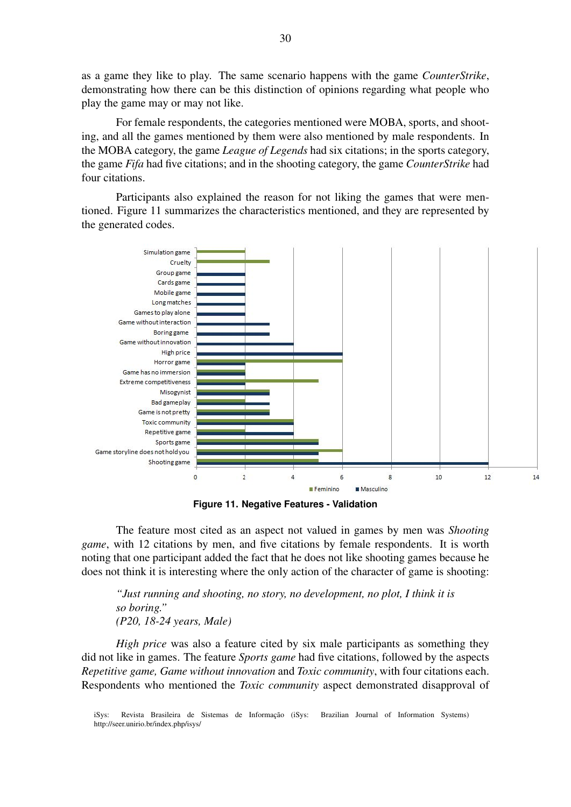as a game they like to play. The same scenario happens with the game *CounterStrike*, demonstrating how there can be this distinction of opinions regarding what people who play the game may or may not like.

For female respondents, the categories mentioned were MOBA, sports, and shooting, and all the games mentioned by them were also mentioned by male respondents. In the MOBA category, the game *League of Legends* had six citations; in the sports category, the game *Fifa* had five citations; and in the shooting category, the game *CounterStrike* had four citations.

Participants also explained the reason for not liking the games that were mentioned. Figure 11 summarizes the characteristics mentioned, and they are represented by the generated codes.



**Figure 11. Negative Features - Validation**

The feature most cited as an aspect not valued in games by men was *Shooting game*, with 12 citations by men, and five citations by female respondents. It is worth noting that one participant added the fact that he does not like shooting games because he does not think it is interesting where the only action of the character of game is shooting:

*"Just running and shooting, no story, no development, no plot, I think it is so boring." (P20, 18-24 years, Male)*

*High price* was also a feature cited by six male participants as something they did not like in games. The feature *Sports game* had five citations, followed by the aspects *Repetitive game, Game without innovation* and *Toxic community*, with four citations each. Respondents who mentioned the *Toxic community* aspect demonstrated disapproval of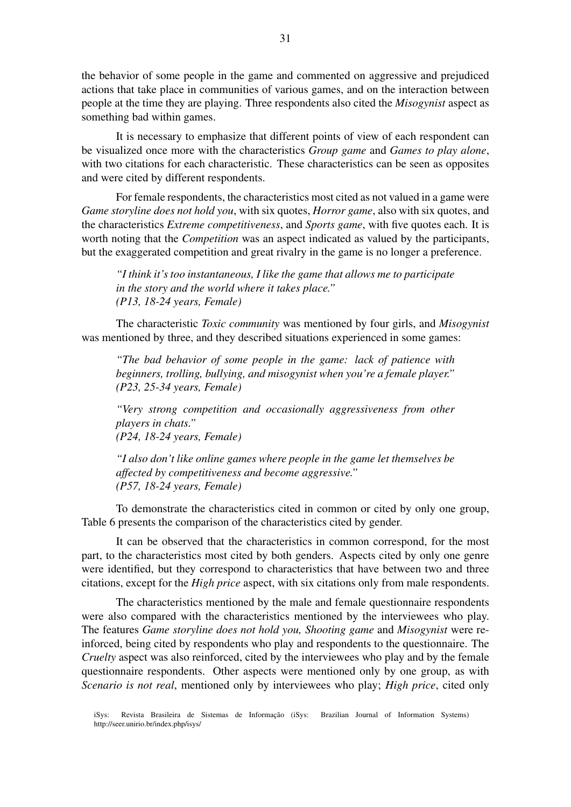the behavior of some people in the game and commented on aggressive and prejudiced actions that take place in communities of various games, and on the interaction between people at the time they are playing. Three respondents also cited the *Misogynist* aspect as something bad within games.

It is necessary to emphasize that different points of view of each respondent can be visualized once more with the characteristics *Group game* and *Games to play alone*, with two citations for each characteristic. These characteristics can be seen as opposites and were cited by different respondents.

For female respondents, the characteristics most cited as not valued in a game were *Game storyline does not hold you*, with six quotes, *Horror game*, also with six quotes, and the characteristics *Extreme competitiveness*, and *Sports game*, with five quotes each. It is worth noting that the *Competition* was an aspect indicated as valued by the participants, but the exaggerated competition and great rivalry in the game is no longer a preference.

*"I think it's too instantaneous, I like the game that allows me to participate in the story and the world where it takes place." (P13, 18-24 years, Female)*

The characteristic *Toxic community* was mentioned by four girls, and *Misogynist* was mentioned by three, and they described situations experienced in some games:

*"The bad behavior of some people in the game: lack of patience with beginners, trolling, bullying, and misogynist when you're a female player." (P23, 25-34 years, Female)*

*"Very strong competition and occasionally aggressiveness from other players in chats." (P24, 18-24 years, Female)*

*"I also don't like online games where people in the game let themselves be affected by competitiveness and become aggressive." (P57, 18-24 years, Female)*

To demonstrate the characteristics cited in common or cited by only one group, Table 6 presents the comparison of the characteristics cited by gender.

It can be observed that the characteristics in common correspond, for the most part, to the characteristics most cited by both genders. Aspects cited by only one genre were identified, but they correspond to characteristics that have between two and three citations, except for the *High price* aspect, with six citations only from male respondents.

The characteristics mentioned by the male and female questionnaire respondents were also compared with the characteristics mentioned by the interviewees who play. The features *Game storyline does not hold you, Shooting game* and *Misogynist* were reinforced, being cited by respondents who play and respondents to the questionnaire. The *Cruelty* aspect was also reinforced, cited by the interviewees who play and by the female questionnaire respondents. Other aspects were mentioned only by one group, as with *Scenario is not real*, mentioned only by interviewees who play; *High price*, cited only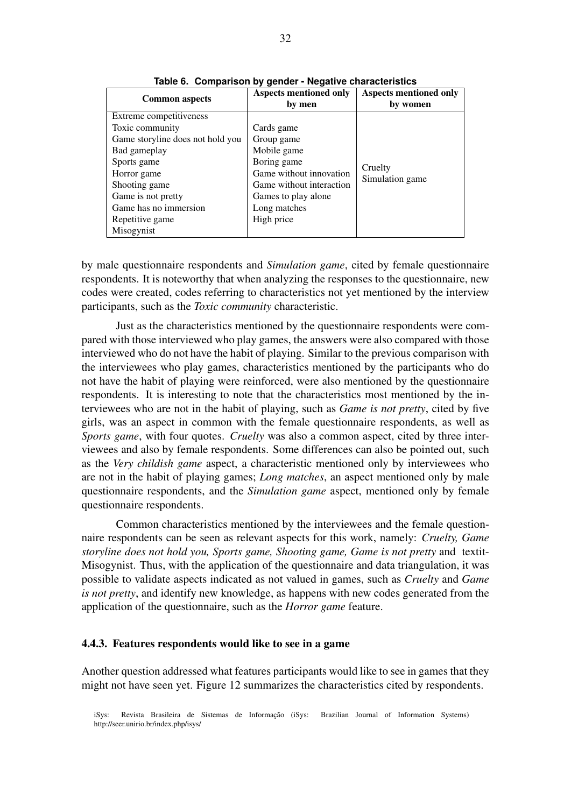| <b>Common aspects</b>            | <b>Aspects mentioned only</b> | <b>Aspects mentioned only</b> |
|----------------------------------|-------------------------------|-------------------------------|
|                                  | by men                        | by women                      |
| Extreme competitiveness          |                               |                               |
| Toxic community                  | Cards game                    |                               |
| Game storyline does not hold you | Group game                    |                               |
| Bad gameplay                     | Mobile game                   |                               |
| Sports game                      | Boring game                   |                               |
| Horror game                      | Game without innovation       | Cruelty<br>Simulation game    |
| Shooting game                    | Game without interaction      |                               |
| Game is not pretty               | Games to play alone           |                               |
| Game has no immersion            | Long matches                  |                               |
| Repetitive game                  | High price                    |                               |
| Misogynist                       |                               |                               |

**Table 6. Comparison by gender - Negative characteristics**

by male questionnaire respondents and *Simulation game*, cited by female questionnaire respondents. It is noteworthy that when analyzing the responses to the questionnaire, new codes were created, codes referring to characteristics not yet mentioned by the interview participants, such as the *Toxic community* characteristic.

Just as the characteristics mentioned by the questionnaire respondents were compared with those interviewed who play games, the answers were also compared with those interviewed who do not have the habit of playing. Similar to the previous comparison with the interviewees who play games, characteristics mentioned by the participants who do not have the habit of playing were reinforced, were also mentioned by the questionnaire respondents. It is interesting to note that the characteristics most mentioned by the interviewees who are not in the habit of playing, such as *Game is not pretty*, cited by five girls, was an aspect in common with the female questionnaire respondents, as well as *Sports game*, with four quotes. *Cruelty* was also a common aspect, cited by three interviewees and also by female respondents. Some differences can also be pointed out, such as the *Very childish game* aspect, a characteristic mentioned only by interviewees who are not in the habit of playing games; *Long matches*, an aspect mentioned only by male questionnaire respondents, and the *Simulation game* aspect, mentioned only by female questionnaire respondents.

Common characteristics mentioned by the interviewees and the female questionnaire respondents can be seen as relevant aspects for this work, namely: *Cruelty, Game storyline does not hold you, Sports game, Shooting game, Game is not pretty* and textit-Misogynist. Thus, with the application of the questionnaire and data triangulation, it was possible to validate aspects indicated as not valued in games, such as *Cruelty* and *Game is not pretty*, and identify new knowledge, as happens with new codes generated from the application of the questionnaire, such as the *Horror game* feature.

#### 4.4.3. Features respondents would like to see in a game

Another question addressed what features participants would like to see in games that they might not have seen yet. Figure 12 summarizes the characteristics cited by respondents.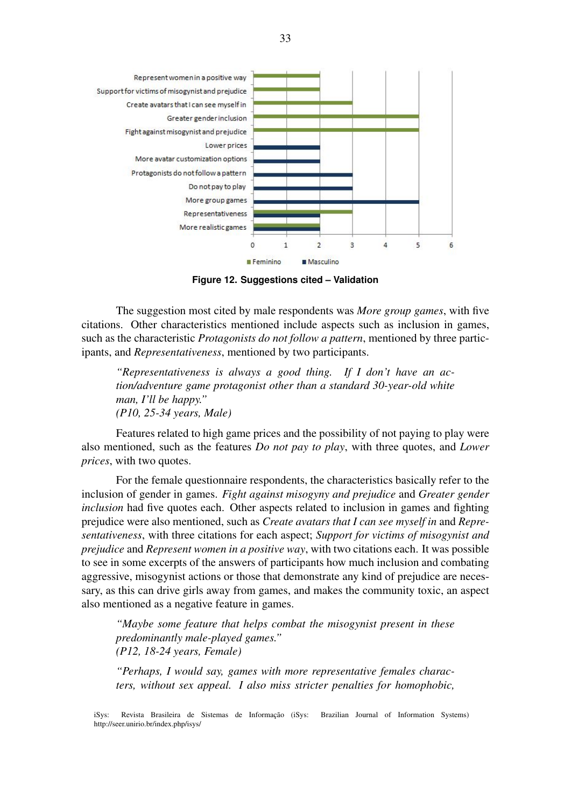

**Figure 12. Suggestions cited – Validation**

The suggestion most cited by male respondents was *More group games*, with five citations. Other characteristics mentioned include aspects such as inclusion in games, such as the characteristic *Protagonists do not follow a pattern*, mentioned by three participants, and *Representativeness*, mentioned by two participants.

*"Representativeness is always a good thing. If I don't have an action/adventure game protagonist other than a standard 30-year-old white man, I'll be happy." (P10, 25-34 years, Male)*

Features related to high game prices and the possibility of not paying to play were also mentioned, such as the features *Do not pay to play*, with three quotes, and *Lower prices*, with two quotes.

For the female questionnaire respondents, the characteristics basically refer to the inclusion of gender in games. *Fight against misogyny and prejudice* and *Greater gender inclusion* had five quotes each. Other aspects related to inclusion in games and fighting prejudice were also mentioned, such as *Create avatars that I can see myself in* and *Representativeness*, with three citations for each aspect; *Support for victims of misogynist and prejudice* and *Represent women in a positive way*, with two citations each. It was possible to see in some excerpts of the answers of participants how much inclusion and combating aggressive, misogynist actions or those that demonstrate any kind of prejudice are necessary, as this can drive girls away from games, and makes the community toxic, an aspect also mentioned as a negative feature in games.

*"Maybe some feature that helps combat the misogynist present in these predominantly male-played games." (P12, 18-24 years, Female)*

*"Perhaps, I would say, games with more representative females characters, without sex appeal. I also miss stricter penalties for homophobic,*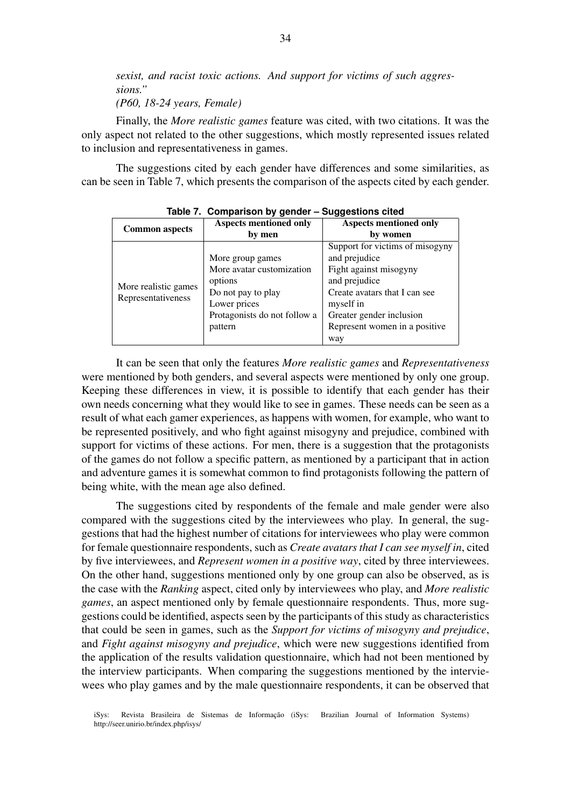*sexist, and racist toxic actions. And support for victims of such aggressions." (P60, 18-24 years, Female)*

Finally, the *More realistic games* feature was cited, with two citations. It was the only aspect not related to the other suggestions, which mostly represented issues related to inclusion and representativeness in games.

The suggestions cited by each gender have differences and some similarities, as can be seen in Table 7, which presents the comparison of the aspects cited by each gender.

|                                            |                                                                                                                                           | ັ                                                                                                                                                                                                      |
|--------------------------------------------|-------------------------------------------------------------------------------------------------------------------------------------------|--------------------------------------------------------------------------------------------------------------------------------------------------------------------------------------------------------|
| <b>Common aspects</b>                      | <b>Aspects mentioned only</b>                                                                                                             | <b>Aspects mentioned only</b>                                                                                                                                                                          |
|                                            | by men                                                                                                                                    | by women                                                                                                                                                                                               |
| More realistic games<br>Representativeness | More group games<br>More avatar customization<br>options<br>Do not pay to play<br>Lower prices<br>Protagonists do not follow a<br>pattern | Support for victims of misogyny<br>and prejudice<br>Fight against misogyny<br>and prejudice<br>Create avatars that I can see<br>myself in<br>Greater gender inclusion<br>Represent women in a positive |
|                                            |                                                                                                                                           | way                                                                                                                                                                                                    |

**Table 7. Comparison by gender – Suggestions cited**

It can be seen that only the features *More realistic games* and *Representativeness* were mentioned by both genders, and several aspects were mentioned by only one group. Keeping these differences in view, it is possible to identify that each gender has their own needs concerning what they would like to see in games. These needs can be seen as a result of what each gamer experiences, as happens with women, for example, who want to be represented positively, and who fight against misogyny and prejudice, combined with support for victims of these actions. For men, there is a suggestion that the protagonists of the games do not follow a specific pattern, as mentioned by a participant that in action and adventure games it is somewhat common to find protagonists following the pattern of being white, with the mean age also defined.

The suggestions cited by respondents of the female and male gender were also compared with the suggestions cited by the interviewees who play. In general, the suggestions that had the highest number of citations for interviewees who play were common for female questionnaire respondents, such as *Create avatars that I can see myself in*, cited by five interviewees, and *Represent women in a positive way*, cited by three interviewees. On the other hand, suggestions mentioned only by one group can also be observed, as is the case with the *Ranking* aspect, cited only by interviewees who play, and *More realistic games*, an aspect mentioned only by female questionnaire respondents. Thus, more suggestions could be identified, aspects seen by the participants of this study as characteristics that could be seen in games, such as the *Support for victims of misogyny and prejudice*, and *Fight against misogyny and prejudice*, which were new suggestions identified from the application of the results validation questionnaire, which had not been mentioned by the interview participants. When comparing the suggestions mentioned by the interviewees who play games and by the male questionnaire respondents, it can be observed that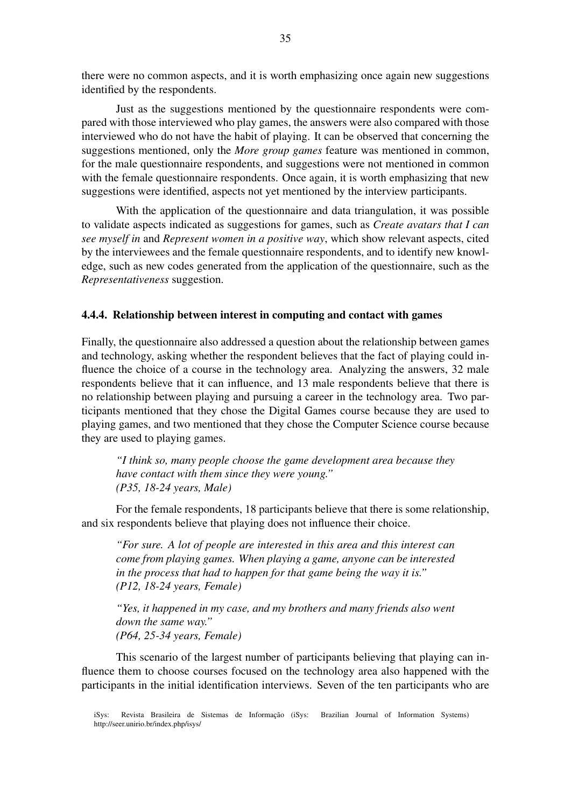there were no common aspects, and it is worth emphasizing once again new suggestions identified by the respondents.

Just as the suggestions mentioned by the questionnaire respondents were compared with those interviewed who play games, the answers were also compared with those interviewed who do not have the habit of playing. It can be observed that concerning the suggestions mentioned, only the *More group games* feature was mentioned in common, for the male questionnaire respondents, and suggestions were not mentioned in common with the female questionnaire respondents. Once again, it is worth emphasizing that new suggestions were identified, aspects not yet mentioned by the interview participants.

With the application of the questionnaire and data triangulation, it was possible to validate aspects indicated as suggestions for games, such as *Create avatars that I can see myself in* and *Represent women in a positive way*, which show relevant aspects, cited by the interviewees and the female questionnaire respondents, and to identify new knowledge, such as new codes generated from the application of the questionnaire, such as the *Representativeness* suggestion.

### 4.4.4. Relationship between interest in computing and contact with games

Finally, the questionnaire also addressed a question about the relationship between games and technology, asking whether the respondent believes that the fact of playing could influence the choice of a course in the technology area. Analyzing the answers, 32 male respondents believe that it can influence, and 13 male respondents believe that there is no relationship between playing and pursuing a career in the technology area. Two participants mentioned that they chose the Digital Games course because they are used to playing games, and two mentioned that they chose the Computer Science course because they are used to playing games.

*"I think so, many people choose the game development area because they have contact with them since they were young." (P35, 18-24 years, Male)*

For the female respondents, 18 participants believe that there is some relationship, and six respondents believe that playing does not influence their choice.

*"For sure. A lot of people are interested in this area and this interest can come from playing games. When playing a game, anyone can be interested in the process that had to happen for that game being the way it is." (P12, 18-24 years, Female)*

*"Yes, it happened in my case, and my brothers and many friends also went down the same way." (P64, 25-34 years, Female)*

This scenario of the largest number of participants believing that playing can influence them to choose courses focused on the technology area also happened with the participants in the initial identification interviews. Seven of the ten participants who are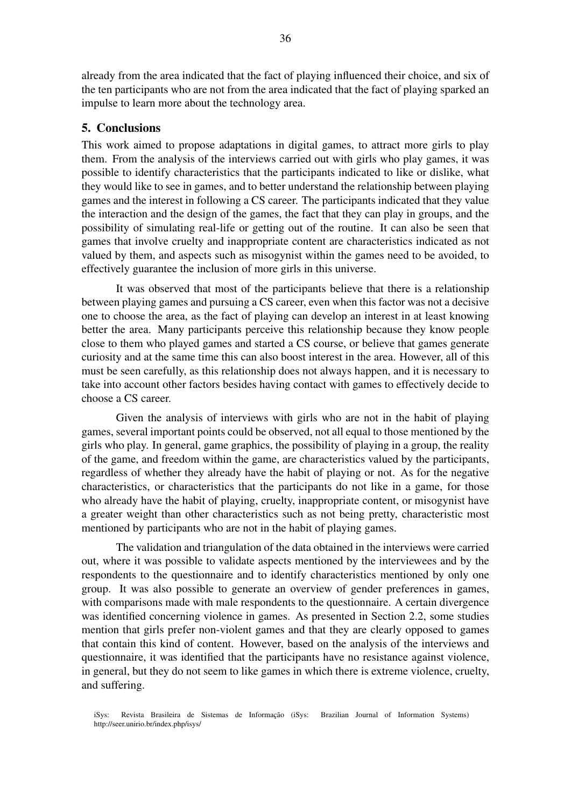already from the area indicated that the fact of playing influenced their choice, and six of the ten participants who are not from the area indicated that the fact of playing sparked an impulse to learn more about the technology area.

### 5. Conclusions

This work aimed to propose adaptations in digital games, to attract more girls to play them. From the analysis of the interviews carried out with girls who play games, it was possible to identify characteristics that the participants indicated to like or dislike, what they would like to see in games, and to better understand the relationship between playing games and the interest in following a CS career. The participants indicated that they value the interaction and the design of the games, the fact that they can play in groups, and the possibility of simulating real-life or getting out of the routine. It can also be seen that games that involve cruelty and inappropriate content are characteristics indicated as not valued by them, and aspects such as misogynist within the games need to be avoided, to effectively guarantee the inclusion of more girls in this universe.

It was observed that most of the participants believe that there is a relationship between playing games and pursuing a CS career, even when this factor was not a decisive one to choose the area, as the fact of playing can develop an interest in at least knowing better the area. Many participants perceive this relationship because they know people close to them who played games and started a CS course, or believe that games generate curiosity and at the same time this can also boost interest in the area. However, all of this must be seen carefully, as this relationship does not always happen, and it is necessary to take into account other factors besides having contact with games to effectively decide to choose a CS career.

Given the analysis of interviews with girls who are not in the habit of playing games, several important points could be observed, not all equal to those mentioned by the girls who play. In general, game graphics, the possibility of playing in a group, the reality of the game, and freedom within the game, are characteristics valued by the participants, regardless of whether they already have the habit of playing or not. As for the negative characteristics, or characteristics that the participants do not like in a game, for those who already have the habit of playing, cruelty, inappropriate content, or misogynist have a greater weight than other characteristics such as not being pretty, characteristic most mentioned by participants who are not in the habit of playing games.

The validation and triangulation of the data obtained in the interviews were carried out, where it was possible to validate aspects mentioned by the interviewees and by the respondents to the questionnaire and to identify characteristics mentioned by only one group. It was also possible to generate an overview of gender preferences in games, with comparisons made with male respondents to the questionnaire. A certain divergence was identified concerning violence in games. As presented in Section 2.2, some studies mention that girls prefer non-violent games and that they are clearly opposed to games that contain this kind of content. However, based on the analysis of the interviews and questionnaire, it was identified that the participants have no resistance against violence, in general, but they do not seem to like games in which there is extreme violence, cruelty, and suffering.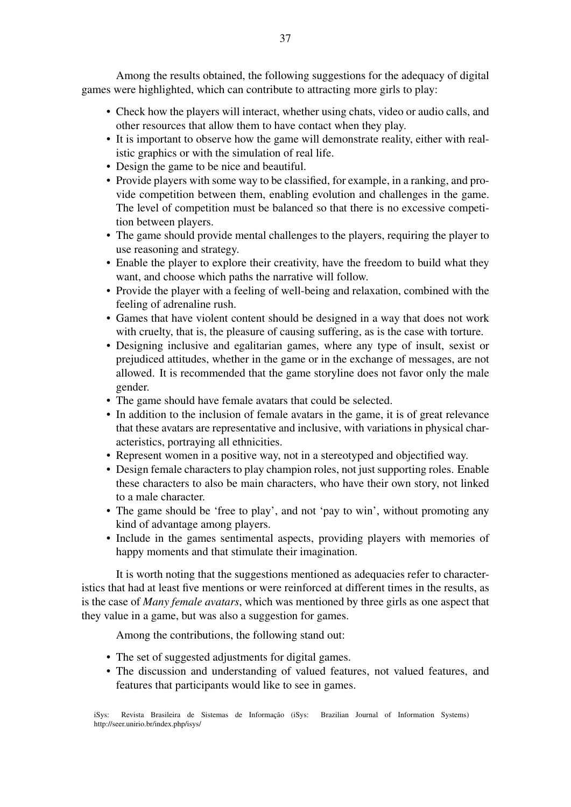Among the results obtained, the following suggestions for the adequacy of digital games were highlighted, which can contribute to attracting more girls to play:

- Check how the players will interact, whether using chats, video or audio calls, and other resources that allow them to have contact when they play.
- It is important to observe how the game will demonstrate reality, either with realistic graphics or with the simulation of real life.
- Design the game to be nice and beautiful.
- Provide players with some way to be classified, for example, in a ranking, and provide competition between them, enabling evolution and challenges in the game. The level of competition must be balanced so that there is no excessive competition between players.
- The game should provide mental challenges to the players, requiring the player to use reasoning and strategy.
- Enable the player to explore their creativity, have the freedom to build what they want, and choose which paths the narrative will follow.
- Provide the player with a feeling of well-being and relaxation, combined with the feeling of adrenaline rush.
- Games that have violent content should be designed in a way that does not work with cruelty, that is, the pleasure of causing suffering, as is the case with torture.
- Designing inclusive and egalitarian games, where any type of insult, sexist or prejudiced attitudes, whether in the game or in the exchange of messages, are not allowed. It is recommended that the game storyline does not favor only the male gender.
- The game should have female avatars that could be selected.
- In addition to the inclusion of female avatars in the game, it is of great relevance that these avatars are representative and inclusive, with variations in physical characteristics, portraying all ethnicities.
- Represent women in a positive way, not in a stereotyped and objectified way.
- Design female characters to play champion roles, not just supporting roles. Enable these characters to also be main characters, who have their own story, not linked to a male character.
- The game should be 'free to play', and not 'pay to win', without promoting any kind of advantage among players.
- Include in the games sentimental aspects, providing players with memories of happy moments and that stimulate their imagination.

It is worth noting that the suggestions mentioned as adequacies refer to characteristics that had at least five mentions or were reinforced at different times in the results, as is the case of *Many female avatars*, which was mentioned by three girls as one aspect that they value in a game, but was also a suggestion for games.

Among the contributions, the following stand out:

- The set of suggested adjustments for digital games.
- The discussion and understanding of valued features, not valued features, and features that participants would like to see in games.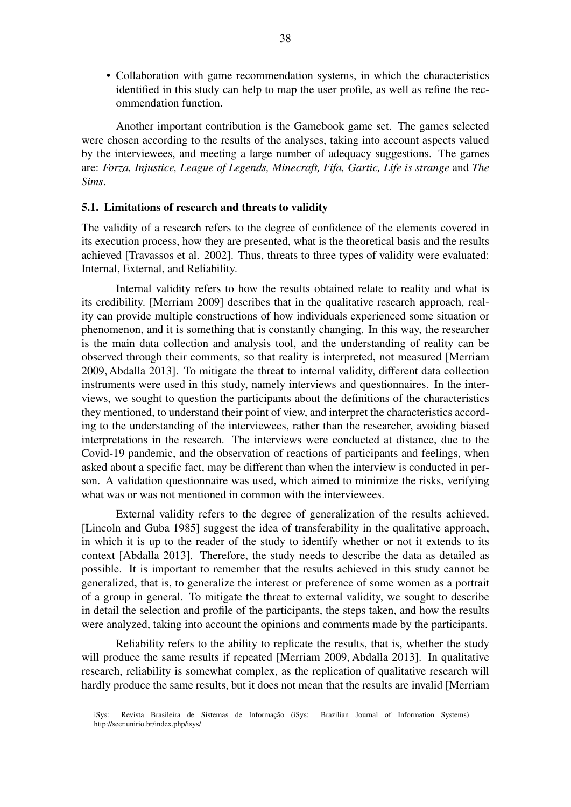• Collaboration with game recommendation systems, in which the characteristics identified in this study can help to map the user profile, as well as refine the recommendation function.

Another important contribution is the Gamebook game set. The games selected were chosen according to the results of the analyses, taking into account aspects valued by the interviewees, and meeting a large number of adequacy suggestions. The games are: *Forza, Injustice, League of Legends, Minecraft, Fifa, Gartic, Life is strange* and *The Sims*.

#### 5.1. Limitations of research and threats to validity

The validity of a research refers to the degree of confidence of the elements covered in its execution process, how they are presented, what is the theoretical basis and the results achieved [Travassos et al. 2002]. Thus, threats to three types of validity were evaluated: Internal, External, and Reliability.

Internal validity refers to how the results obtained relate to reality and what is its credibility. [Merriam 2009] describes that in the qualitative research approach, reality can provide multiple constructions of how individuals experienced some situation or phenomenon, and it is something that is constantly changing. In this way, the researcher is the main data collection and analysis tool, and the understanding of reality can be observed through their comments, so that reality is interpreted, not measured [Merriam 2009, Abdalla 2013]. To mitigate the threat to internal validity, different data collection instruments were used in this study, namely interviews and questionnaires. In the interviews, we sought to question the participants about the definitions of the characteristics they mentioned, to understand their point of view, and interpret the characteristics according to the understanding of the interviewees, rather than the researcher, avoiding biased interpretations in the research. The interviews were conducted at distance, due to the Covid-19 pandemic, and the observation of reactions of participants and feelings, when asked about a specific fact, may be different than when the interview is conducted in person. A validation questionnaire was used, which aimed to minimize the risks, verifying what was or was not mentioned in common with the interviewees.

External validity refers to the degree of generalization of the results achieved. [Lincoln and Guba 1985] suggest the idea of transferability in the qualitative approach, in which it is up to the reader of the study to identify whether or not it extends to its context [Abdalla 2013]. Therefore, the study needs to describe the data as detailed as possible. It is important to remember that the results achieved in this study cannot be generalized, that is, to generalize the interest or preference of some women as a portrait of a group in general. To mitigate the threat to external validity, we sought to describe in detail the selection and profile of the participants, the steps taken, and how the results were analyzed, taking into account the opinions and comments made by the participants.

Reliability refers to the ability to replicate the results, that is, whether the study will produce the same results if repeated [Merriam 2009, Abdalla 2013]. In qualitative research, reliability is somewhat complex, as the replication of qualitative research will hardly produce the same results, but it does not mean that the results are invalid [Merriam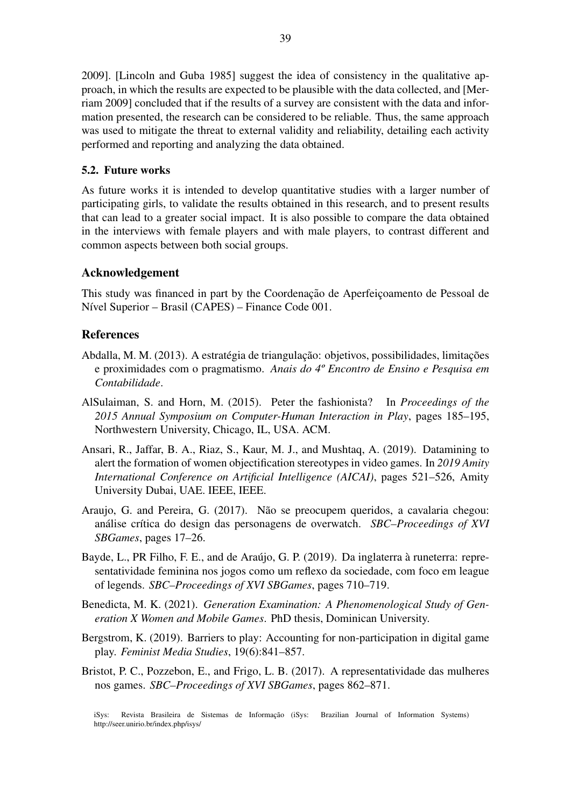2009]. [Lincoln and Guba 1985] suggest the idea of consistency in the qualitative approach, in which the results are expected to be plausible with the data collected, and [Merriam 2009] concluded that if the results of a survey are consistent with the data and information presented, the research can be considered to be reliable. Thus, the same approach was used to mitigate the threat to external validity and reliability, detailing each activity performed and reporting and analyzing the data obtained.

### 5.2. Future works

As future works it is intended to develop quantitative studies with a larger number of participating girls, to validate the results obtained in this research, and to present results that can lead to a greater social impact. It is also possible to compare the data obtained in the interviews with female players and with male players, to contrast different and common aspects between both social groups.

## Acknowledgement

This study was financed in part by the Coordenação de Aperfeiçoamento de Pessoal de Nível Superior – Brasil (CAPES) – Finance Code 001.

# References

- Abdalla, M. M. (2013). A estratégia de triangulação: objetivos, possibilidades, limitações e proximidades com o pragmatismo. *Anais do 4º Encontro de Ensino e Pesquisa em Contabilidade*.
- AlSulaiman, S. and Horn, M. (2015). Peter the fashionista? In *Proceedings of the 2015 Annual Symposium on Computer-Human Interaction in Play*, pages 185–195, Northwestern University, Chicago, IL, USA. ACM.
- Ansari, R., Jaffar, B. A., Riaz, S., Kaur, M. J., and Mushtaq, A. (2019). Datamining to alert the formation of women objectification stereotypes in video games. In *2019 Amity International Conference on Artificial Intelligence (AICAI)*, pages 521–526, Amity University Dubai, UAE. IEEE, IEEE.
- Araujo, G. and Pereira, G. (2017). Não se preocupem queridos, a cavalaria chegou: análise crítica do design das personagens de overwatch. *SBC–Proceedings of XVI SBGames*, pages 17–26.
- Bayde, L., PR Filho, F. E., and de Araújo, G. P. (2019). Da inglaterra à runeterra: representatividade feminina nos jogos como um reflexo da sociedade, com foco em league of legends. *SBC–Proceedings of XVI SBGames*, pages 710–719.
- Benedicta, M. K. (2021). *Generation Examination: A Phenomenological Study of Generation X Women and Mobile Games*. PhD thesis, Dominican University.
- Bergstrom, K. (2019). Barriers to play: Accounting for non-participation in digital game play. *Feminist Media Studies*, 19(6):841–857.
- Bristot, P. C., Pozzebon, E., and Frigo, L. B. (2017). A representatividade das mulheres nos games. *SBC–Proceedings of XVI SBGames*, pages 862–871.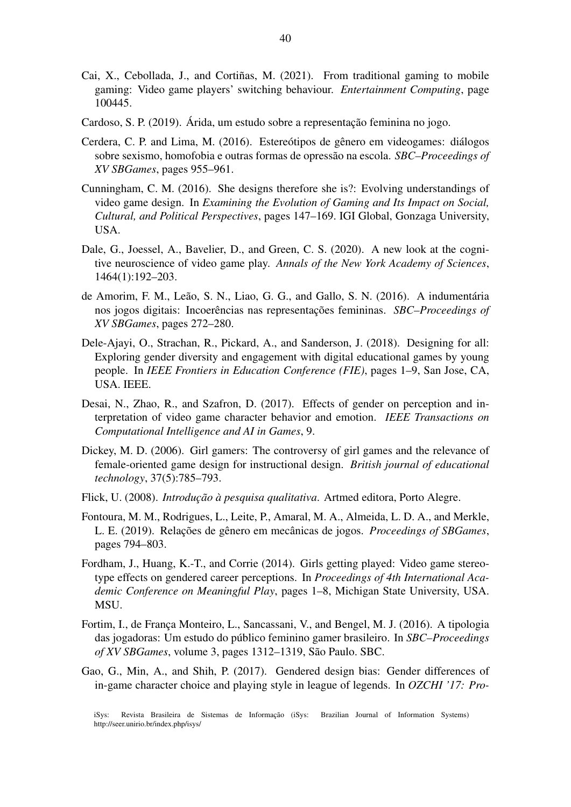- Cai, X., Cebollada, J., and Cortiñas, M. (2021). From traditional gaming to mobile gaming: Video game players' switching behaviour. *Entertainment Computing*, page 100445.
- Cardoso, S. P. (2019). Árida, um estudo sobre a representação feminina no jogo.
- Cerdera, C. P. and Lima, M. (2016). Estereótipos de gênero em videogames: diálogos sobre sexismo, homofobia e outras formas de opressao na escola. ˜ *SBC–Proceedings of XV SBGames*, pages 955–961.
- Cunningham, C. M. (2016). She designs therefore she is?: Evolving understandings of video game design. In *Examining the Evolution of Gaming and Its Impact on Social, Cultural, and Political Perspectives*, pages 147–169. IGI Global, Gonzaga University, USA.
- Dale, G., Joessel, A., Bavelier, D., and Green, C. S. (2020). A new look at the cognitive neuroscience of video game play. *Annals of the New York Academy of Sciences*, 1464(1):192–203.
- de Amorim, F. M., Leão, S. N., Liao, G. G., and Gallo, S. N. (2016). A indumentária nos jogos digitais: Incoerências nas representações femininas. *SBC–Proceedings of XV SBGames*, pages 272–280.
- Dele-Ajayi, O., Strachan, R., Pickard, A., and Sanderson, J. (2018). Designing for all: Exploring gender diversity and engagement with digital educational games by young people. In *IEEE Frontiers in Education Conference (FIE)*, pages 1–9, San Jose, CA, USA. IEEE.
- Desai, N., Zhao, R., and Szafron, D. (2017). Effects of gender on perception and interpretation of video game character behavior and emotion. *IEEE Transactions on Computational Intelligence and AI in Games*, 9.
- Dickey, M. D. (2006). Girl gamers: The controversy of girl games and the relevance of female-oriented game design for instructional design. *British journal of educational technology*, 37(5):785–793.
- Flick, U. (2008). *Introdução à pesquisa qualitativa*. Artmed editora, Porto Alegre.
- Fontoura, M. M., Rodrigues, L., Leite, P., Amaral, M. A., Almeida, L. D. A., and Merkle, L. E. (2019). Relações de gênero em mecânicas de jogos. *Proceedings of SBGames*, pages 794–803.
- Fordham, J., Huang, K.-T., and Corrie (2014). Girls getting played: Video game stereotype effects on gendered career perceptions. In *Proceedings of 4th International Academic Conference on Meaningful Play*, pages 1–8, Michigan State University, USA. MSU.
- Fortim, I., de França Monteiro, L., Sancassani, V., and Bengel, M. J. (2016). A tipologia das jogadoras: Um estudo do publico feminino gamer brasileiro. In ´ *SBC–Proceedings of XV SBGames*, volume 3, pages 1312–1319, Sao Paulo. SBC. ˜
- Gao, G., Min, A., and Shih, P. (2017). Gendered design bias: Gender differences of in-game character choice and playing style in league of legends. In *OZCHI '17: Pro-*

iSys: Revista Brasileira de Sistemas de Informação (iSys: Brazilian Journal of Information Systems) http://seer.unirio.br/index.php/isys/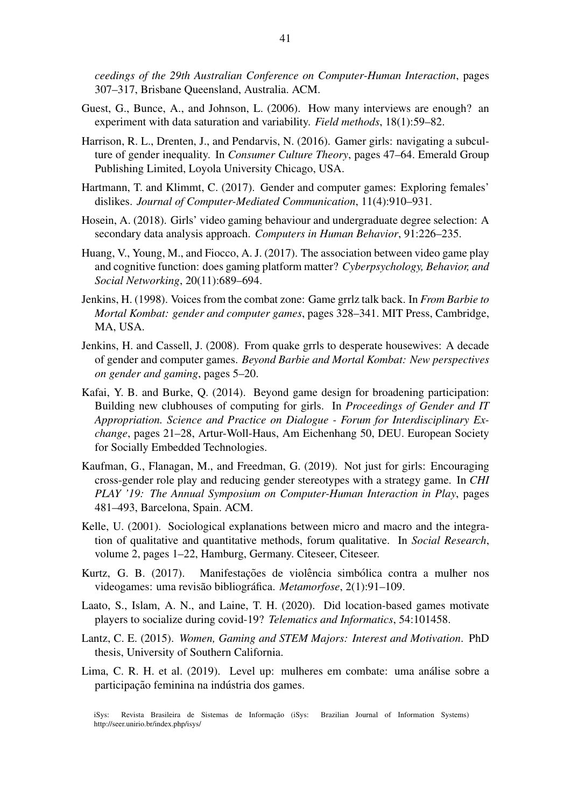*ceedings of the 29th Australian Conference on Computer-Human Interaction*, pages 307–317, Brisbane Queensland, Australia. ACM.

- Guest, G., Bunce, A., and Johnson, L. (2006). How many interviews are enough? an experiment with data saturation and variability. *Field methods*, 18(1):59–82.
- Harrison, R. L., Drenten, J., and Pendarvis, N. (2016). Gamer girls: navigating a subculture of gender inequality. In *Consumer Culture Theory*, pages 47–64. Emerald Group Publishing Limited, Loyola University Chicago, USA.
- Hartmann, T. and Klimmt, C. (2017). Gender and computer games: Exploring females' dislikes. *Journal of Computer-Mediated Communication*, 11(4):910–931.
- Hosein, A. (2018). Girls' video gaming behaviour and undergraduate degree selection: A secondary data analysis approach. *Computers in Human Behavior*, 91:226–235.
- Huang, V., Young, M., and Fiocco, A. J. (2017). The association between video game play and cognitive function: does gaming platform matter? *Cyberpsychology, Behavior, and Social Networking*, 20(11):689–694.
- Jenkins, H. (1998). Voices from the combat zone: Game grrlz talk back. In *From Barbie to Mortal Kombat: gender and computer games*, pages 328–341. MIT Press, Cambridge, MA, USA.
- Jenkins, H. and Cassell, J. (2008). From quake grrls to desperate housewives: A decade of gender and computer games. *Beyond Barbie and Mortal Kombat: New perspectives on gender and gaming*, pages 5–20.
- Kafai, Y. B. and Burke, Q. (2014). Beyond game design for broadening participation: Building new clubhouses of computing for girls. In *Proceedings of Gender and IT Appropriation. Science and Practice on Dialogue - Forum for Interdisciplinary Exchange*, pages 21–28, Artur-Woll-Haus, Am Eichenhang 50, DEU. European Society for Socially Embedded Technologies.
- Kaufman, G., Flanagan, M., and Freedman, G. (2019). Not just for girls: Encouraging cross-gender role play and reducing gender stereotypes with a strategy game. In *CHI PLAY '19: The Annual Symposium on Computer-Human Interaction in Play*, pages 481–493, Barcelona, Spain. ACM.
- Kelle, U. (2001). Sociological explanations between micro and macro and the integration of qualitative and quantitative methods, forum qualitative. In *Social Research*, volume 2, pages 1–22, Hamburg, Germany. Citeseer, Citeseer.
- Kurtz, G. B. (2017). Manifestações de violência simbólica contra a mulher nos videogames: uma revisão bibliográfica. *Metamorfose*, 2(1):91–109.
- Laato, S., Islam, A. N., and Laine, T. H. (2020). Did location-based games motivate players to socialize during covid-19? *Telematics and Informatics*, 54:101458.
- Lantz, C. E. (2015). *Women, Gaming and STEM Majors: Interest and Motivation*. PhD thesis, University of Southern California.
- Lima, C. R. H. et al. (2019). Level up: mulheres em combate: uma análise sobre a participação feminina na indústria dos games.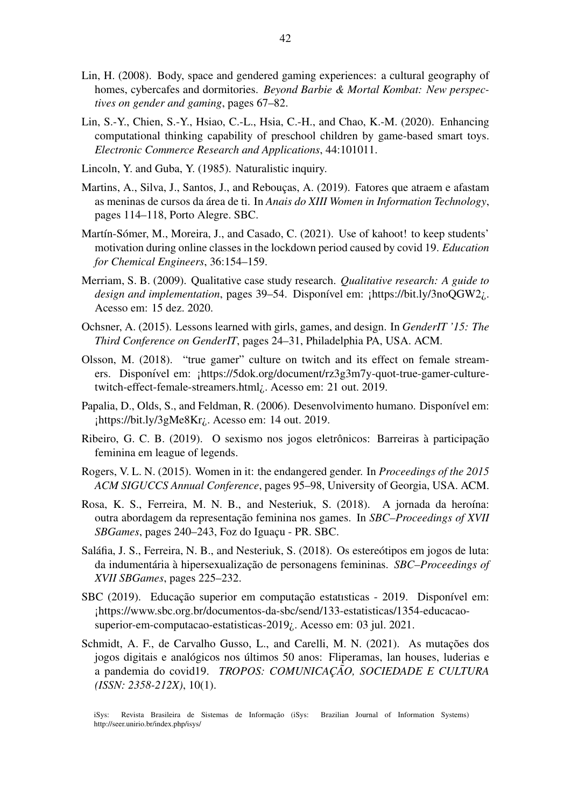- Lin, H. (2008). Body, space and gendered gaming experiences: a cultural geography of homes, cybercafes and dormitories. *Beyond Barbie & Mortal Kombat: New perspectives on gender and gaming*, pages 67–82.
- Lin, S.-Y., Chien, S.-Y., Hsiao, C.-L., Hsia, C.-H., and Chao, K.-M. (2020). Enhancing computational thinking capability of preschool children by game-based smart toys. *Electronic Commerce Research and Applications*, 44:101011.
- Lincoln, Y. and Guba, Y. (1985). Naturalistic inquiry.
- Martins, A., Silva, J., Santos, J., and Reboucas, A. (2019). Fatores que atraem e afastam as meninas de cursos da área de ti. In *Anais do XIII Women in Information Technology*, pages 114–118, Porto Alegre. SBC.
- Martín-Sómer, M., Moreira, J., and Casado, C. (2021). Use of kahoot! to keep students' motivation during online classes in the lockdown period caused by covid 19. *Education for Chemical Engineers*, 36:154–159.
- Merriam, S. B. (2009). Qualitative case study research. *Qualitative research: A guide to design and implementation*, pages 39–54. Disponível em: ¡https://bit.ly/3noQGW2<sub>i</sub>. Acesso em: 15 dez. 2020.
- Ochsner, A. (2015). Lessons learned with girls, games, and design. In *GenderIT '15: The Third Conference on GenderIT*, pages 24–31, Philadelphia PA, USA. ACM.
- Olsson, M. (2018). "true gamer" culture on twitch and its effect on female streamers. Disponível em: ¡https://5dok.org/document/rz3g3m7y-quot-true-gamer-culturetwitch-effect-female-streamers.html¿. Acesso em: 21 out. 2019.
- Papalia, D., Olds, S., and Feldman, R. (2006). Desenvolvimento humano. Disponível em: ¡https://bit.ly/3gMe8Kr¿. Acesso em: 14 out. 2019.
- Ribeiro, G. C. B. (2019). O sexismo nos jogos eletrônicos: Barreiras à participação feminina em league of legends.
- Rogers, V. L. N. (2015). Women in it: the endangered gender. In *Proceedings of the 2015 ACM SIGUCCS Annual Conference*, pages 95–98, University of Georgia, USA. ACM.
- Rosa, K. S., Ferreira, M. N. B., and Nesteriuk, S. (2018). A jornada da heroína: outra abordagem da representação feminina nos games. In *SBC–Proceedings of XVII SBGames*, pages 240–243, Foz do Iguaçu - PR. SBC.
- Saláfia, J. S., Ferreira, N. B., and Nesteriuk, S.  $(2018)$ . Os estere otipos em jogos de luta: da indumentária à hipersexualização de personagens femininas. *SBC–Proceedings of XVII SBGames*, pages 225–232.
- SBC (2019). Educação superior em computação estatisticas 2019. Disponível em: ¡https://www.sbc.org.br/documentos-da-sbc/send/133-estatisticas/1354-educacaosuperior-em-computacao-estatisticas-2019¿. Acesso em: 03 jul. 2021.
- Schmidt, A. F., de Carvalho Gusso, L., and Carelli, M. N. (2021). As mutações dos jogos digitais e analógicos nos últimos 50 anos: Fliperamas, lan houses, luderias e a pandemia do covid19. *TROPOS: COMUNICAÇÃO, SOCIEDADE E CULTURA (ISSN: 2358-212X)*, 10(1).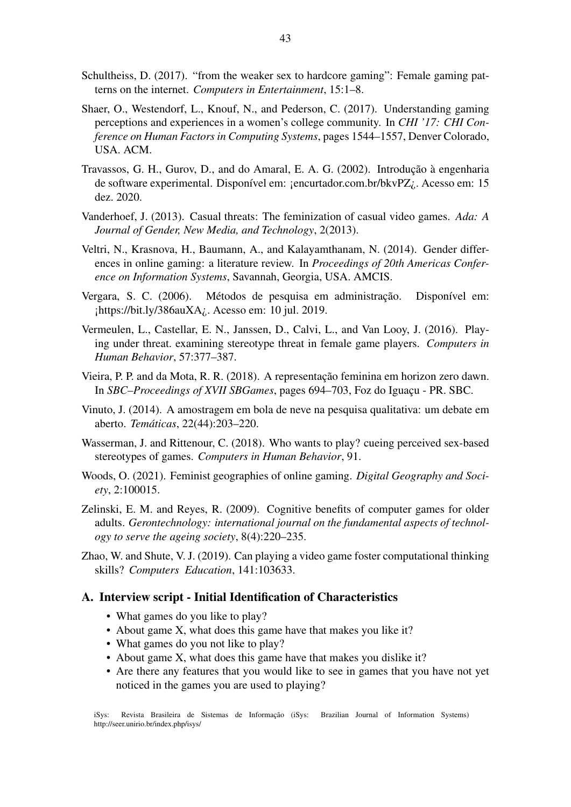- Schultheiss, D. (2017). "from the weaker sex to hardcore gaming": Female gaming patterns on the internet. *Computers in Entertainment*, 15:1–8.
- Shaer, O., Westendorf, L., Knouf, N., and Pederson, C. (2017). Understanding gaming perceptions and experiences in a women's college community. In *CHI '17: CHI Conference on Human Factors in Computing Systems*, pages 1544–1557, Denver Colorado, USA. ACM.
- Travassos, G. H., Gurov, D., and do Amaral, E. A. G. (2002). Introdução à engenharia de software experimental. Disponível em: ¡encurtador.com.br/bkvPZ¿. Acesso em: 15 dez. 2020.
- Vanderhoef, J. (2013). Casual threats: The feminization of casual video games. *Ada: A Journal of Gender, New Media, and Technology*, 2(2013).
- Veltri, N., Krasnova, H., Baumann, A., and Kalayamthanam, N. (2014). Gender differences in online gaming: a literature review. In *Proceedings of 20th Americas Conference on Information Systems*, Savannah, Georgia, USA. AMCIS.
- Vergara, S. C. (2006). Métodos de pesquisa em administração. Disponível em: ¡https://bit.ly/386auXA¿. Acesso em: 10 jul. 2019.
- Vermeulen, L., Castellar, E. N., Janssen, D., Calvi, L., and Van Looy, J. (2016). Playing under threat. examining stereotype threat in female game players. *Computers in Human Behavior*, 57:377–387.
- Vieira, P. P. and da Mota, R. R. (2018). A representação feminina em horizon zero dawn. In *SBC–Proceedings of XVII SBGames*, pages 694–703, Foz do Iguaçu - PR. SBC.
- Vinuto, J. (2014). A amostragem em bola de neve na pesquisa qualitativa: um debate em aberto. *Tematicas ´* , 22(44):203–220.
- Wasserman, J. and Rittenour, C. (2018). Who wants to play? cueing perceived sex-based stereotypes of games. *Computers in Human Behavior*, 91.
- Woods, O. (2021). Feminist geographies of online gaming. *Digital Geography and Society*, 2:100015.
- Zelinski, E. M. and Reyes, R. (2009). Cognitive benefits of computer games for older adults. *Gerontechnology: international journal on the fundamental aspects of technology to serve the ageing society*, 8(4):220–235.
- Zhao, W. and Shute, V. J. (2019). Can playing a video game foster computational thinking skills? *Computers Education*, 141:103633.

### A. Interview script - Initial Identification of Characteristics

- What games do you like to play?
- About game X, what does this game have that makes you like it?
- What games do you not like to play?
- About game X, what does this game have that makes you dislike it?
- Are there any features that you would like to see in games that you have not yet noticed in the games you are used to playing?